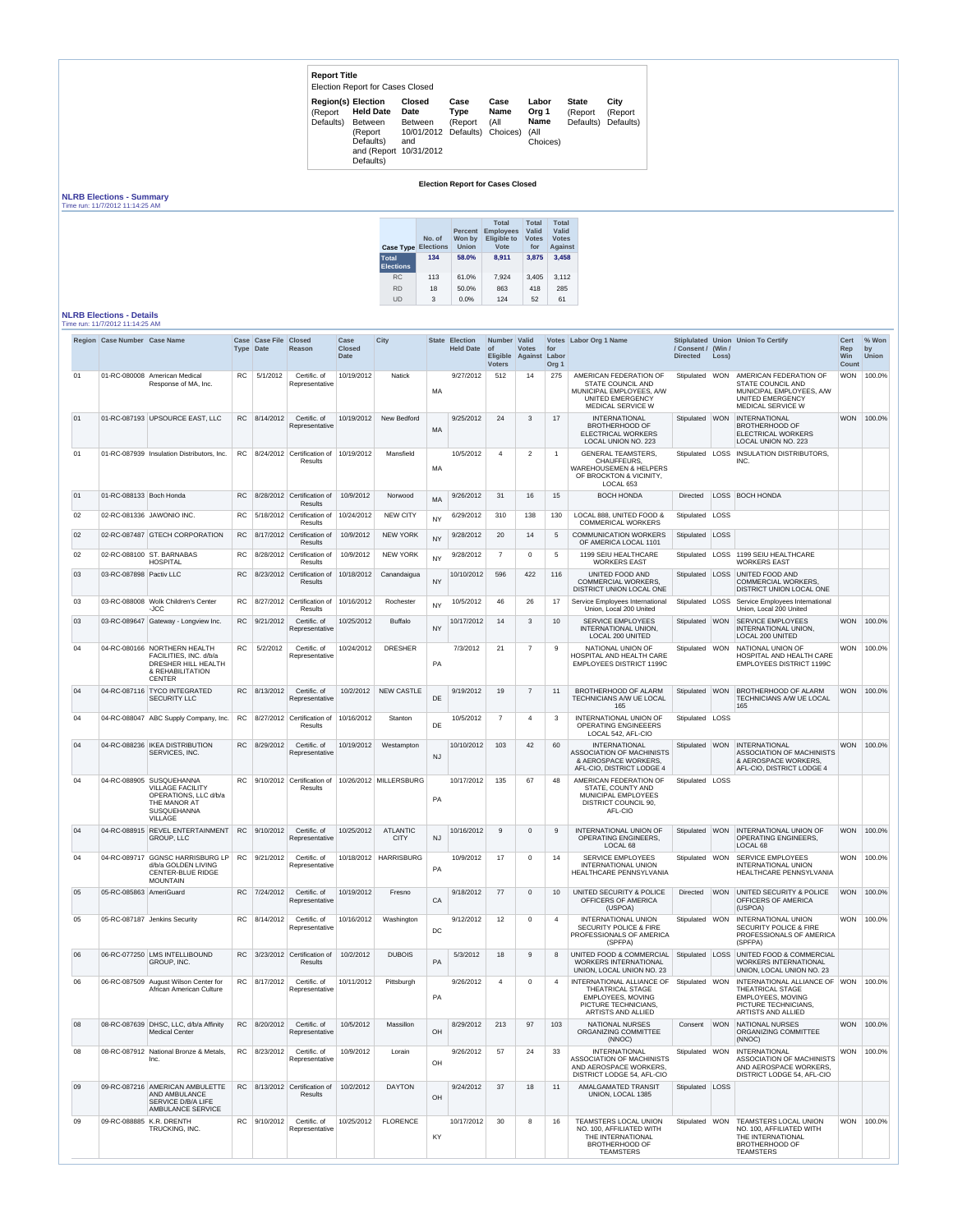| <b>Report Title</b>                               | <b>Election Report for Cases Closed</b>                                                            |                                                                               |                         |                                         |                                                   |                                      |                               |
|---------------------------------------------------|----------------------------------------------------------------------------------------------------|-------------------------------------------------------------------------------|-------------------------|-----------------------------------------|---------------------------------------------------|--------------------------------------|-------------------------------|
| <b>Region(s) Election</b><br>(Report<br>Defaults) | <b>Held Date</b><br><b>Between</b><br>(Report<br>Defaults)<br>and (Report 10/31/2012)<br>Defaults) | <b>Closed</b><br><b>Date</b><br><b>Between</b><br>10/01/2012 Defaults)<br>and | Case<br>Type<br>(Report | Case<br><b>Name</b><br>(All<br>Choices) | Labor<br>Org 1<br><b>Name</b><br>(All<br>Choices) | <b>State</b><br>(Report<br>Defaults) | City<br>(Report)<br>Defaults) |

## **Election Report for Cases Closed**

## **NLRB Elections - Summary** Time run: 11/7/2012 11:14:25 AM

| <b>Case Type</b>                 | No. of<br><b>Elections</b> | <b>Percent</b><br>Won by<br><b>Union</b> | <b>Total</b><br><b>Employees</b><br><b>Eligible to</b><br>Vote | <b>Total</b><br>Valid<br><b>Votes</b><br>for | <b>Total</b><br>Valid<br><b>Votes</b><br><b>Against</b> |
|----------------------------------|----------------------------|------------------------------------------|----------------------------------------------------------------|----------------------------------------------|---------------------------------------------------------|
| <b>Total</b><br><b>Elections</b> | 134                        | 58.0%                                    | 8,911                                                          | 3,875                                        | 3,458                                                   |
| <b>RC</b>                        | 113                        | 61.0%                                    | 7.924                                                          | 3,405                                        | 3,112                                                   |
| <b>RD</b>                        | 18                         | 50.0%                                    | 863                                                            | 418                                          | 285                                                     |
| UD                               | 3                          | $0.0\%$                                  | 124                                                            | 52                                           | 61                                                      |

## **NLRB Elections - Details**

Time run: 11/7/2012 11:14:25 AM

|    | Region Case Number Case Name |                                                                                                                                      |           | Case Case File<br><b>Type Date</b> | <b>Closed</b><br><b>Reason</b>                        | Case<br><b>Closed</b><br><b>Date</b> | City                           | State     | <b>Election</b><br>Held Date of | Number   Valid<br><b>Voters</b> | <b>Votes</b><br>Eligible Against Labor | for<br>Org <sub>1</sub>  | Votes Labor Org 1 Name                                                                                                         | / Consent / (Win /<br><b>Directed</b> | Loss)      | Stiplulated Union Union To Certify                                                                                                            | <b>Cert</b><br>Rep<br>Win<br><b>Count</b> | % Won<br>by<br><b>Union</b> |
|----|------------------------------|--------------------------------------------------------------------------------------------------------------------------------------|-----------|------------------------------------|-------------------------------------------------------|--------------------------------------|--------------------------------|-----------|---------------------------------|---------------------------------|----------------------------------------|--------------------------|--------------------------------------------------------------------------------------------------------------------------------|---------------------------------------|------------|-----------------------------------------------------------------------------------------------------------------------------------------------|-------------------------------------------|-----------------------------|
| 01 | 01-RC-080008                 | American Medical<br>Response of MA, Inc.                                                                                             | <b>RC</b> | 5/1/2012                           | Certific. of<br>Representative                        | 10/19/2012                           | <b>Natick</b>                  | MA        | 9/27/2012                       | 512                             | 14                                     | 275                      | AMERICAN FEDERATION OF<br><b>STATE COUNCIL AND</b><br>MUNICIPAL EMPLOYEES, A/W<br>UNITED EMERGENCY<br><b>MEDICAL SERVICE W</b> | Stipulated                            | <b>WON</b> | AMERICAN FEDERATION OF<br><b>STATE COUNCIL AND</b><br>MUNICIPAL EMPLOYEES, A/W<br><b>UNITED EMERGENCY</b><br><b>MEDICAL SERVICE W</b>         | WON                                       | 100.0%                      |
| 01 |                              | 01-RC-087193 UPSOURCE EAST, LLC                                                                                                      |           | RC 8/14/2012                       | Certific. of<br>Representative                        | 10/19/2012                           | New Bedford                    | <b>MA</b> | 9/25/2012                       | 24                              | 3                                      | 17                       | <b>INTERNATIONAL</b><br><b>BROTHERHOOD OF</b><br><b>ELECTRICAL WORKERS</b><br><b>LOCAL UNION NO. 223</b>                       | Stipulated   WON                      |            | <b>INTERNATIONAL</b><br><b>BROTHERHOOD OF</b><br><b>ELECTRICAL WORKERS</b><br><b>LOCAL UNION NO. 223</b>                                      | <b>WON</b>                                | 100.0%                      |
| 01 |                              | 01-RC-087939 Insulation Distributors, Inc.                                                                                           |           |                                    | RC $ 8/24/2012 $ Certification of<br><b>Results</b>   | 10/19/2012                           | Mansfield                      | <b>MA</b> | 10/5/2012                       | $\overline{A}$                  | $\overline{2}$                         | -1                       | <b>GENERAL TEAMSTERS,</b><br>CHAUFFEURS.<br><b>WAREHOUSEMEN &amp; HELPERS</b><br>OF BROCKTON & VICINITY,<br>LOCAL 653          | Stipulated                            | LOSS       | <b>INSULATION DISTRIBUTORS,</b><br>INC.                                                                                                       |                                           |                             |
| 01 | 01-RC-088133 Boch Honda      |                                                                                                                                      | RC.       |                                    | 8/28/2012 Certification of<br><b>Results</b>          | 10/9/2012                            | Norwood                        | MA        | 9/26/2012                       | 31                              | 16                                     | 15                       | <b>BOCH HONDA</b>                                                                                                              | Directed                              |            | LOSS   BOCH HONDA                                                                                                                             |                                           |                             |
| 02 |                              | 02-RC-081336 JAWONIO INC.                                                                                                            | RC.       |                                    | 5/18/2012 Certification of<br><b>Results</b>          | 10/24/2012                           | <b>NEW CITY</b>                | <b>NY</b> | 6/29/2012                       | 310                             | 138                                    | 130                      | LOCAL 888, UNITED FOOD &<br><b>COMMERICAL WORKERS</b>                                                                          | Stipulated                            | LOSS       |                                                                                                                                               |                                           |                             |
| 02 |                              | 02-RC-087487 GTECH CORPORATION                                                                                                       |           |                                    | RC 8/17/2012 Certification of<br><b>Results</b>       | 10/9/2012                            | <b>NEW YORK</b>                | <b>NY</b> | 9/28/2012                       | 20                              | 14                                     | $5\overline{)}$          | <b>COMMUNICATION WORKERS</b><br>OF AMERICA LOCAL 1101                                                                          | Stipulated                            | LOSS       |                                                                                                                                               |                                           |                             |
| 02 |                              | 02-RC-088100 ST. BARNABAS<br>HOSPITAL                                                                                                | RC.       |                                    | 8/28/2012 Certification of<br><b>Results</b>          | 10/9/2012                            | <b>NEW YORK</b>                | <b>NY</b> | 9/28/2012                       | $\overline{7}$                  | $\Omega$                               | $5\overline{)}$          | 1199 SEIU HEALTHCARE<br><b>WORKERS EAST</b>                                                                                    | Stipulated                            |            | LOSS 1199 SEIU HEALTHCARE<br><b>WORKERS EAST</b>                                                                                              |                                           |                             |
| 03 | 03-RC-087898 Pactiv LLC      |                                                                                                                                      | RC.       |                                    | 8/23/2012 Certification of<br><b>Results</b>          | 10/18/2012                           | Canandaigua                    | <b>NY</b> | 10/10/2012                      | 596                             | 422                                    | 116                      | UNITED FOOD AND<br><b>COMMERCIAL WORKERS,</b><br>DISTRICT UNION LOCAL ONE                                                      | Stipulated                            |            | LOSS UNITED FOOD AND<br><b>COMMERCIAL WORKERS,</b><br><b>DISTRICT UNION LOCAL ONE</b>                                                         |                                           |                             |
| 03 |                              | 03-RC-088008 Wolk Children's Center<br>-JCC                                                                                          | <b>RC</b> |                                    | 8/27/2012 Certification of<br>Results                 | 10/16/2012                           | Rochester                      | <b>NY</b> | 10/5/2012                       | 46                              | 26                                     | 17                       | Service Employees International<br>Union, Local 200 United                                                                     | Stipulated                            | LOSS       | Service Employees International<br>Union, Local 200 United                                                                                    |                                           |                             |
| 03 | 03-RC-089647                 | Gateway - Longview Inc.                                                                                                              |           | RC 9/21/2012                       | Certific, of<br>Representative                        | 10/25/2012                           | <b>Buffalo</b>                 | <b>NY</b> | 10/17/2012                      | 14                              | 3                                      | 10 <sup>°</sup>          | <b>SERVICE EMPLOYEES</b><br>INTERNATIONAL UNION,<br>LOCAL 200 UNITED                                                           | Stipulated                            | <b>WON</b> | <b>SERVICE EMPLOYEES</b><br>INTERNATIONAL UNION,<br><b>LOCAL 200 UNITED</b>                                                                   | <b>WON</b>                                | 100.0%                      |
| 04 |                              | 04-RC-080166 NORTHERN HEALTH<br>FACILITIES, INC. d/b/a<br><b>DRESHER HILL HEALTH</b><br>& REHABILITATION<br><b>CENTER</b>            | RC        | 5/2/2012                           | Certific. of<br>Representative                        | 10/24/2012                           | <b>DRESHER</b>                 | PA        | 7/3/2012                        | 21                              | $\overline{7}$                         | 9                        | NATIONAL UNION OF<br>HOSPITAL AND HEALTH CARE<br><b>EMPLOYEES DISTRICT 1199C</b>                                               | Stipulated   WON                      |            | NATIONAL UNION OF<br>HOSPITAL AND HEALTH CARE<br><b>EMPLOYEES DISTRICT 1199C</b>                                                              | WON                                       | 100.0%                      |
| 04 | 04-RC-087116                 | <b>TYCO INTEGRATED</b><br><b>SECURITY LLC</b>                                                                                        |           | RC 8/13/2012                       | Certific. of<br>Representative                        | 10/2/2012                            | <b>NEW CASTLE</b>              | DE        | 9/19/2012                       | 19                              |                                        | 11                       | <b>BROTHERHOOD OF ALARM</b><br><b>TECHNICIANS A/W UE LOCAL</b><br>165                                                          | Stipulated                            | <b>WON</b> | <b>BROTHERHOOD OF ALARM</b><br><b>TECHNICIANS A/W UE LOCAL</b><br>165                                                                         | <b>WON</b>                                | 100.0%                      |
| 04 |                              | 04-RC-088047 ABC Supply Company, Inc.                                                                                                |           |                                    | RC $ 8/27/2012 $ Certification of<br><b>Results</b>   | 10/16/2012                           | Stanton                        | <b>DE</b> | 10/5/2012                       | $\overline{7}$                  | $\boldsymbol{\varDelta}$               | $\mathbf{3}$             | <b>INTERNATIONAL UNION OF</b><br><b>OPERATING ENGINEEERS</b><br>LOCAL 542, AFL-CIO                                             | Stipulated LOSS                       |            |                                                                                                                                               |                                           |                             |
| 04 |                              | 04-RC-088236 IKEA DISTRIBUTION<br><b>SERVICES, INC.</b>                                                                              |           | RC 8/29/2012                       | Certific. of<br>Representative                        | 10/19/2012                           | Westampton                     | <b>NJ</b> | 10/10/2012                      | 103                             | 42                                     | 60                       | <b>INTERNATIONAL</b><br><b>ASSOCIATION OF MACHINISTS</b><br>& AEROSPACE WORKERS.<br>AFL-CIO, DISTRICT LODGE 4                  | Stipulated                            | <b>WON</b> | INTERNATIONAL<br><b>ASSOCIATION OF MACHINISTS</b><br>& AEROSPACE WORKERS,<br>AFL-CIO, DISTRICT LODGE 4                                        | <b>WON</b>                                | 100.0%                      |
| 04 |                              | 04-RC-088905 SUSQUEHANNA<br><b>VILLAGE FACILITY</b><br>OPERATIONS, LLC d/b/a<br>THE MANOR AT<br><b>SUSQUEHANNA</b><br><b>VILLAGE</b> |           |                                    | RC   $9/10/2012$   Certification of<br><b>Results</b> |                                      | 10/26/2012 MILLERSBURG         | <b>PA</b> | 10/17/2012                      | 135                             | 67                                     | 48                       | AMERICAN FEDERATION OF<br>STATE, COUNTY AND<br>MUNICIPAL EMPLOYEES<br>DISTRICT COUNCIL 90,<br>AFL-CIO                          | Stipulated LOSS                       |            |                                                                                                                                               |                                           |                             |
| 04 | 04-RC-088915                 | <b>REVEL ENTERTAINMENT</b><br><b>GROUP, LLC</b>                                                                                      |           | RC 9/10/2012                       | Certific. of<br>Representative                        | 10/25/2012                           | <b>ATLANTIC</b><br><b>CITY</b> | <b>NJ</b> | 10/16/2012                      | 9                               | $\Omega$                               | 9                        | <b>INTERNATIONAL UNION OF</b><br><b>OPERATING ENGINEERS,</b><br>LOCAL <sub>68</sub>                                            | Stipulated WON                        |            | <b>INTERNATIONAL UNION OF</b><br><b>OPERATING ENGINEERS,</b><br>LOCAL 68                                                                      | <b>WON</b>                                | 100.0%                      |
| 04 | 04-RC-089717                 | GGNSC HARRISBURG LP<br>d/b/a GOLDEN LIVING<br><b>CENTER-BLUE RIDGE</b><br><b>MOUNTAIN</b>                                            |           | RC 9/21/2012                       | Certific, of<br>Representative                        |                                      | 10/18/2012   HARRISBURG        | PA        | 10/9/2012                       | 17                              | $\Omega$                               | 14                       | <b>SERVICE EMPLOYEES</b><br><b>INTERNATIONAL UNION</b><br>HEALTHCARE PENNSYLVANIA                                              | Stipulated   WON                      |            | <b>SERVICE EMPLOYEES</b><br><b>INTERNATIONAL UNION</b><br>HEALTHCARE PENNSYLVANIA                                                             |                                           | WON 100.0%                  |
| 05 | 05-RC-085863 AmeriGuard      |                                                                                                                                      | <b>RC</b> | 7/24/2012                          | Certific. of<br>Representative                        | 10/19/2012                           | Fresno                         | CA        | 9/18/2012                       | 77                              | $\Omega$                               | 10                       | UNITED SECURITY & POLICE<br>OFFICERS OF AMERICA<br>(USPOA)                                                                     | Directed                              | <b>WON</b> | UNITED SECURITY & POLICE<br><b>OFFICERS OF AMERICA</b><br>(USPOA)                                                                             | <b>WON</b>                                | 100.0%                      |
| 05 |                              | 05-RC-087187 Jenkins Security                                                                                                        |           | RC 8/14/2012                       | Certific. of<br>Representative                        | 10/16/2012                           | Washington                     | DC        | 9/12/2012                       | 12                              | $\Omega$                               | $\overline{4}$           | <b>INTERNATIONAL UNION</b><br><b>SECURITY POLICE &amp; FIRE</b><br>PROFESSIONALS OF AMERICA<br>(SPFPA)                         | Stipulated   WON                      |            | <b>INTERNATIONAL UNION</b><br><b>SECURITY POLICE &amp; FIRE</b><br>PROFESSIONALS OF AMERICA<br>(SPFPA)                                        | <b>WON</b>                                | 100.0%                      |
| 06 |                              | 06-RC-077250 LMS INTELLIBOUND<br>GROUP, INC.                                                                                         | <b>RC</b> |                                    | 3/23/2012 Certification of<br><b>Results</b>          | 10/2/2012                            | <b>DUBOIS</b>                  | PA        | 5/3/2012                        | 18                              | 9                                      | 8                        | UNITED FOOD & COMMERCIAL<br><b>WORKERS INTERNATIONAL</b><br>UNION, LOCAL UNION NO. 23                                          | Stipulated   LOSS                     |            | <b>UNITED FOOD &amp; COMMERCIAL</b><br><b>WORKERS INTERNATIONAL</b><br>UNION, LOCAL UNION NO. 23                                              |                                           |                             |
| 06 | 06-RC-087509                 | August Wilson Center for<br>African American Culture                                                                                 |           | RC 8/17/2012                       | Certific. of<br>Representative                        | 10/11/2012                           | Pittsburgh                     | PA        | 9/26/2012                       | $\overline{\mathbf{A}}$         | $\Omega$                               | $\boldsymbol{\varDelta}$ | INTERNATIONAL ALLIANCE OF<br>THEATRICAL STAGE<br><b>EMPLOYEES, MOVING</b><br>PICTURE TECHNICIANS.<br><b>ARTISTS AND ALLIED</b> | Stipulated   WON                      |            | INTERNATIONAL ALLIANCE OF WON<br><b>THEATRICAL STAGE</b><br><b>EMPLOYEES, MOVING</b><br>PICTURE TECHNICIANS.<br><b>ARTISTS AND ALLIED</b>     |                                           | 100.0%                      |
| 08 |                              | 08-RC-087639 DHSC, LLC, d/b/a Affinity<br><b>Medical Center</b>                                                                      |           | RC 8/20/2012                       | Certific. of<br>Representative                        | 10/5/2012                            | Massillon                      | OH        | 8/29/2012                       | 213                             | 97                                     | 103                      | <b>NATIONAL NURSES</b><br>ORGANIZING COMMITTEE<br>(NNOC)                                                                       | Consent                               | <b>WON</b> | <b>NATIONAL NURSES</b><br><b>ORGANIZING COMMITTEE</b><br>(NNOC)                                                                               | <b>WON</b>                                | 100.0%                      |
| 08 |                              | 08-RC-087912 National Bronze & Metals,<br>Inc.                                                                                       |           | RC 8/23/2012                       | Certific. of<br>Representative                        | 10/9/2012                            | Lorain                         | OH        | 9/26/2012                       | 57                              | 24                                     | 33                       | <b>INTERNATIONAL</b><br>ASSOCIATION OF MACHINISTS<br>AND AEROSPACE WORKERS,<br>DISTRICT LODGE 54, AFL-CIO                      | Stipulated WON                        |            | <b>INTERNATIONAL</b><br><b>ASSOCIATION OF MACHINISTS</b><br>AND AEROSPACE WORKERS.<br>DISTRICT LODGE 54, AFL-CIO                              | <b>WON</b>                                | 100.0%                      |
| 09 |                              | 09-RC-087216 AMERICAN AMBULETTE<br>AND AMBULANCE<br><b>SERVICE D/B/A LIFE</b><br><b>AMBULANCE SERVICE</b>                            |           |                                    | $RC$   8/13/2012   Certification of<br>Results        | 10/2/2012                            | <b>DAYTON</b>                  | OH        | 9/24/2012                       | 37                              | 18                                     | 11                       | AMALGAMATED TRANSIT<br>UNION, LOCAL 1385                                                                                       | Stipulated   LOSS                     |            |                                                                                                                                               |                                           |                             |
| 09 | 09-RC-088885 K.R. DRENTH     | TRUCKING, INC.                                                                                                                       |           | RC   9/10/2012                     | Certific. of<br>Representative                        | 10/25/2012                           | <b>FLORENCE</b>                | KY        | 10/17/2012                      | 30                              | 8                                      | 16                       | TEAMSTERS LOCAL UNION<br>NO. 100, AFFILIATED WITH<br>THE INTERNATIONAL<br><b>BROTHERHOOD OF</b><br><b>TEAMSTERS</b>            |                                       |            | Stipulated   WON   TEAMSTERS LOCAL UNION<br>NO. 100, AFFILIATED WITH<br><b>THE INTERNATIONAL</b><br><b>BROTHERHOOD OF</b><br><b>TEAMSTERS</b> |                                           | WON 100.0%                  |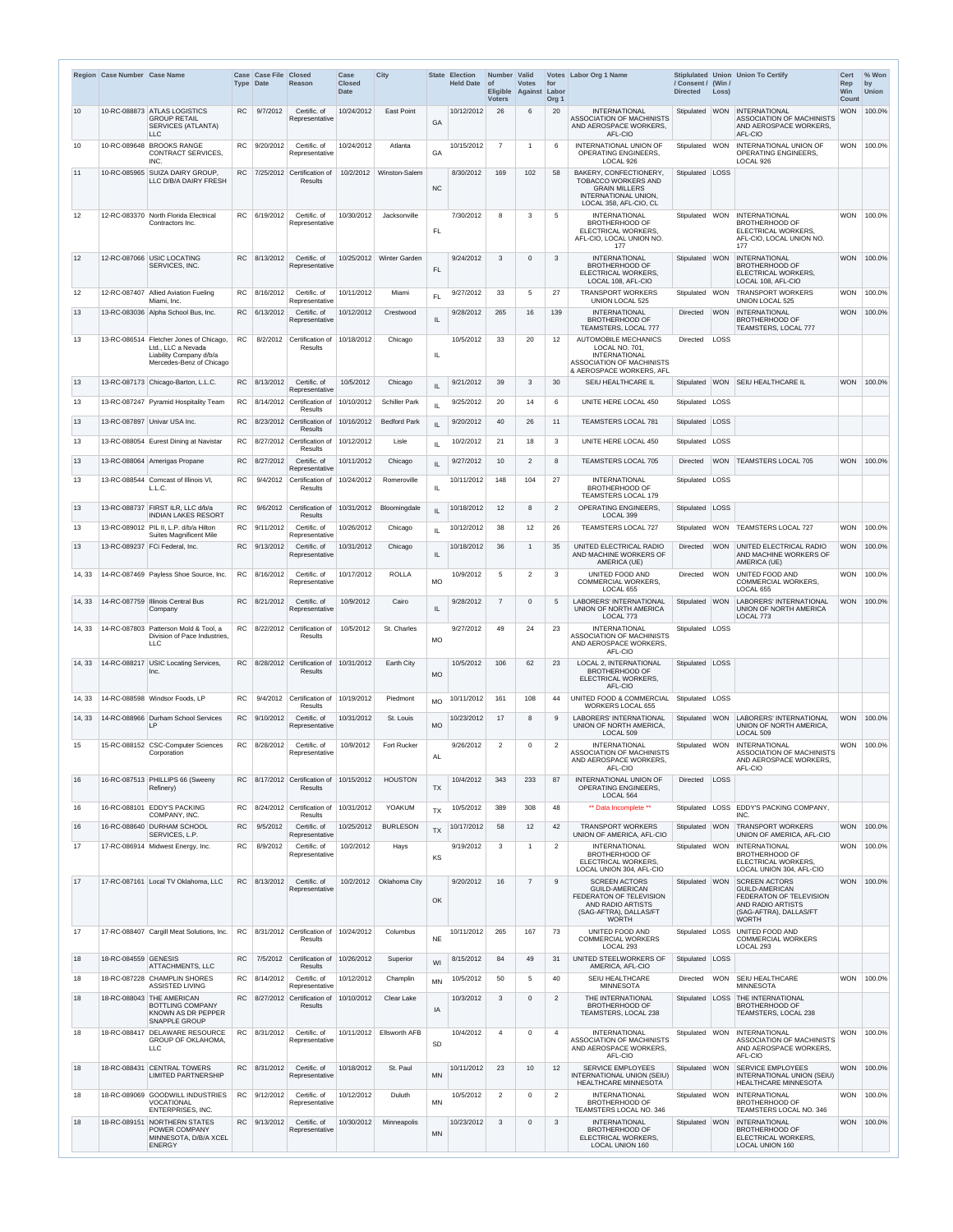|                   | Region Case Number Case Name |                                                                                                                      |           | Case Case File<br><b>Type Date</b> | <b>Closed</b><br>Reason                                             | Case<br><b>Closed</b><br><b>Date</b> | <b>City</b>              | <b>State</b>  | <b>Election</b><br><b>Held Date</b> | Number Valid<br>$\circ$ f<br>Eligible Against Labor<br><b>Voters</b> | <b>Votes</b>   | for<br>Org <sub>1</sub> | Votes Labor Org 1 Name                                                                                                                                              | / Consent / (Win /<br><b>Directed</b> | Loss)      | Stiplulated Union Union To Certify                                                                                                                                  | <b>Cert</b><br>Rep<br>Win<br><b>Count</b> | % Won<br>by<br><b>Union</b> |
|-------------------|------------------------------|----------------------------------------------------------------------------------------------------------------------|-----------|------------------------------------|---------------------------------------------------------------------|--------------------------------------|--------------------------|---------------|-------------------------------------|----------------------------------------------------------------------|----------------|-------------------------|---------------------------------------------------------------------------------------------------------------------------------------------------------------------|---------------------------------------|------------|---------------------------------------------------------------------------------------------------------------------------------------------------------------------|-------------------------------------------|-----------------------------|
| 10                |                              | 10-RC-088873 ATLAS LOGISTICS<br><b>GROUP RETAIL</b><br><b>SERVICES (ATLANTA)</b><br>LLC                              | <b>RC</b> | 9/7/2012                           | Certific. of<br>Representative                                      | 10/24/2012                           | <b>East Point</b>        | GA            | 10/12/2012                          | 26                                                                   | 6              | 20                      | <b>INTERNATIONAL</b><br><b>ASSOCIATION OF MACHINISTS</b><br>AND AEROSPACE WORKERS.<br>AFL-CIO                                                                       | Stipulated   WON                      |            | <b>INTERNATIONAL</b><br><b>ASSOCIATION OF MACHINISTS</b><br>AND AEROSPACE WORKERS,<br>AFL-CIO                                                                       | <b>WON</b>                                | 100.0%                      |
| 10                | 10-RC-089648                 | <b>BROOKS RANGE</b><br>CONTRACT SERVICES,<br>INC.                                                                    |           | RC 9/20/2012                       | Certific. of<br>Representative                                      | 10/24/2012                           | Atlanta                  | GA            | 10/15/2012                          | $\overline{7}$                                                       |                | 6                       | <b>INTERNATIONAL UNION OF</b><br><b>OPERATING ENGINEERS,</b><br>LOCAL 926                                                                                           | Stipulated WON                        |            | <b>INTERNATIONAL UNION OF</b><br>OPERATING ENGINEERS,<br>LOCAL 926                                                                                                  | <b>WON</b>                                | 100.0%                      |
| 11                |                              | 10-RC-085965 SUIZA DAIRY GROUP.<br>LLC D/B/A DAIRY FRESH                                                             |           |                                    | RC 7/25/2012 Certification of<br><b>Results</b>                     | 10/2/2012                            | Winston-Salem            | <b>NC</b>     | 8/30/2012                           | 169                                                                  | 102            | 58                      | BAKERY, CONFECTIONERY,<br>TOBACCO WORKERS AND<br><b>GRAIN MILLERS</b><br>INTERNATIONAL UNION,<br>LOCAL 358, AFL-CIO, CL                                             | Stipulated   LOSS                     |            |                                                                                                                                                                     |                                           |                             |
| 12                |                              | 12-RC-083370 North Florida Electrical<br>Contractors Inc.                                                            |           | RC 6/19/2012                       | Certific. of<br>Representative                                      | 10/30/2012                           | Jacksonville             | <b>FL</b>     | 7/30/2012                           | 8                                                                    | 3              | 5                       | <b>INTERNATIONAL</b><br><b>BROTHERHOOD OF</b><br>ELECTRICAL WORKERS,<br>AFL-CIO, LOCAL UNION NO.<br>177                                                             | Stipulated                            | <b>WON</b> | <b>INTERNATIONAL</b><br><b>BROTHERHOOD OF</b><br><b>ELECTRICAL WORKERS,</b><br>AFL-CIO, LOCAL UNION NO.<br>177                                                      | <b>WON</b>                                | 100.0%                      |
| 12                |                              | 12-RC-087066 USIC LOCATING<br>SERVICES, INC.                                                                         | <b>RC</b> | 8/13/2012                          | Certific. of<br>Representative                                      |                                      | 10/25/2012 Winter Garden | <b>FL</b>     | 9/24/2012                           | 3                                                                    | $\Omega$       | 3                       | <b>INTERNATIONAL</b><br><b>BROTHERHOOD OF</b><br>ELECTRICAL WORKERS,<br>LOCAL 108, AFL-CIO                                                                          | Stipulated WON                        |            | <b>INTERNATIONAL</b><br><b>BROTHERHOOD OF</b><br><b>ELECTRICAL WORKERS,</b><br>LOCAL 108, AFL-CIO                                                                   | <b>WON</b>                                | 100.0%                      |
| $12 \overline{ }$ |                              | 12-RC-087407 Allied Aviation Fueling<br>Miami, Inc.                                                                  | RC        | 8/16/2012                          | Certific. of<br>Representative                                      | 10/11/2012                           | Miami                    | <b>FL</b>     | 9/27/2012                           | 33                                                                   | 5              | 27                      | <b>TRANSPORT WORKERS</b><br><b>UNION LOCAL 525</b>                                                                                                                  | Stipulated WON                        |            | <b>TRANSPORT WORKERS</b><br><b>UNION LOCAL 525</b>                                                                                                                  | <b>WON</b>                                | 100.0%                      |
| 13                |                              | 13-RC-083036 Alpha School Bus, Inc.                                                                                  | <b>RC</b> | 6/13/2012                          | Certific. of<br>Representative                                      | 10/12/2012                           | Crestwood                | IL            | 9/28/2012                           | 265                                                                  | 16             | 139                     | <b>INTERNATIONAL</b><br><b>BROTHERHOOD OF</b><br>TEAMSTERS, LOCAL 777                                                                                               | Directed                              | <b>WON</b> | <b>INTERNATIONAL</b><br><b>BROTHERHOOD OF</b><br>TEAMSTERS, LOCAL 777                                                                                               | <b>WON</b>                                | 100.0%                      |
| 13                |                              | 13-RC-086514 Fletcher Jones of Chicago,<br>Ltd., LLC a Nevada<br>Liability Company d/b/a<br>Mercedes-Benz of Chicago | <b>RC</b> | 8/2/2012                           | Certification of<br>Results                                         | 10/18/2012                           | Chicago                  | IL            | 10/5/2012                           | 33                                                                   | 20             | $12 \overline{ }$       | <b>AUTOMOBILE MECHANICS</b><br>LOCAL NO. 701,<br><b>INTERNATIONAL</b><br>ASSOCIATION OF MACHINISTS<br>& AEROSPACE WORKERS, AFL                                      | Directed                              | LOSS       |                                                                                                                                                                     |                                           |                             |
| 13                |                              | 13-RC-087173 Chicago-Barton, L.L.C.                                                                                  | <b>RC</b> | 8/13/2012                          | Certific. of<br>Representative                                      | 10/5/2012                            | Chicago                  | IL            | 9/21/2012                           | 39                                                                   | 3              | 30                      | SEIU HEALTHCARE IL                                                                                                                                                  | Stipulated                            | <b>WON</b> | <b>SEIU HEALTHCARE IL</b>                                                                                                                                           | <b>WON</b>                                | 100.0%                      |
| 13                |                              | 13-RC-087247 Pyramid Hospitality Team                                                                                | <b>RC</b> | 8/14/2012                          | Certification of<br>Results                                         | 10/10/2012                           | <b>Schiller Park</b>     | IL            | 9/25/2012                           | 20                                                                   | 14             | 6                       | UNITE HERE LOCAL 450                                                                                                                                                | Stipulated                            | LOSS       |                                                                                                                                                                     |                                           |                             |
| 13                |                              | 13-RC-087897 Univar USA Inc.                                                                                         | RC        |                                    | 8/23/2012 Certification of<br><b>Results</b>                        | 10/16/2012                           | <b>Bedford Park</b>      | IL            | 9/20/2012                           | 40                                                                   | 26             | 11                      | <b>TEAMSTERS LOCAL 781</b>                                                                                                                                          | Stipulated   LOSS                     |            |                                                                                                                                                                     |                                           |                             |
| 13                |                              | 13-RC-088054 Eurest Dining at Navistar                                                                               |           |                                    | $RC$   8/27/2012 Certification of<br><b>Results</b>                 | 10/12/2012                           | Lisle                    | $\mathsf{IL}$ | 10/2/2012                           | 21                                                                   | 18             | 3                       | UNITE HERE LOCAL 450                                                                                                                                                | Stipulated   LOSS                     |            |                                                                                                                                                                     |                                           |                             |
| 13                |                              | 13-RC-088064 Amerigas Propane                                                                                        | RC.       | 8/27/2012                          | Certific. of<br>Representative                                      | 10/11/2012                           | Chicago                  | IL.           | 9/27/2012                           | 10                                                                   | 2              | 8                       | <b>TEAMSTERS LOCAL 705</b>                                                                                                                                          | Directed                              | <b>WON</b> | <b>TEAMSTERS LOCAL 705</b>                                                                                                                                          | <b>WON</b>                                | 100.0%                      |
| 13                |                              | 13-RC-088544 Comcast of Illinois VI.<br>L.L.C.                                                                       | RC.       |                                    | 9/4/2012 Certification of<br><b>Results</b>                         | 10/24/2012                           | Romeroville              | IL            | 10/11/2012                          | 148                                                                  | 104            | 27                      | <b>INTERNATIONAL</b><br><b>BROTHERHOOD OF</b><br>TEAMSTERS LOCAL 179                                                                                                | Stipulated   LOSS                     |            |                                                                                                                                                                     |                                           |                             |
| 13                | 13-RC-088737                 | FIRST ILR. LLC d/b/a<br><b>INDIAN LAKES RESORT</b>                                                                   | <b>RC</b> | 9/6/2012                           | Certification of<br><b>Results</b>                                  | 10/31/2012                           | Bloomingdale             | IL            | 10/18/2012                          | 12                                                                   | 8              | $\overline{2}$          | <b>OPERATING ENGINEERS.</b><br>LOCAL 399                                                                                                                            | Stipulated LOSS                       |            |                                                                                                                                                                     |                                           |                             |
| 13                |                              | 13-RC-089012 PIL II, L.P. d/b/a Hilton<br>Suites Magnificent Mile                                                    |           | RC 9/11/2012                       | Certific. of<br>Representative                                      | 10/26/2012                           | Chicago                  | $\mathsf{IL}$ | 10/12/2012                          | 38                                                                   | 12             | 26                      | <b>TEAMSTERS LOCAL 727</b>                                                                                                                                          | Stipulated                            | <b>WON</b> | <b>TEAMSTERS LOCAL 727</b>                                                                                                                                          | <b>WON</b>                                | 100.0%                      |
| 13                |                              | 13-RC-089237 FCi Federal, Inc.                                                                                       |           | RC 9/13/2012                       | Certific. of<br>Representative                                      | 10/31/2012                           | Chicago                  | $\mathsf{IL}$ | 10/18/2012                          | 36                                                                   |                | 35                      | UNITED ELECTRICAL RADIO<br>AND MACHINE WORKERS OF                                                                                                                   | <b>Directed</b>                       | <b>WON</b> | UNITED ELECTRICAL RADIO<br>AND MACHINE WORKERS OF                                                                                                                   | <b>WON</b>                                | 100.0%                      |
| 14, 33            |                              | 14-RC-087469 Payless Shoe Source, Inc.                                                                               |           | RC 8/16/2012                       | Certific. of<br>Representative                                      | 10/17/2012                           | <b>ROLLA</b>             | <b>MO</b>     | 10/9/2012                           | 5                                                                    | $\overline{2}$ | $\mathbf{3}$            | AMERICA (UE)<br>UNITED FOOD AND<br><b>COMMERCIAL WORKERS,</b><br>LOCAL 655                                                                                          | Directed                              | <b>WON</b> | AMERICA (UE)<br>UNITED FOOD AND<br><b>COMMERCIAL WORKERS,</b><br><b>LOCAL 655</b>                                                                                   | <b>WON</b>                                | 100.0%                      |
| 14, 33            |                              | 14-RC-087759 Illinois Central Bus<br>Company                                                                         |           | RC 8/21/2012                       | Certific. of<br>Representative                                      | 10/9/2012                            | Cairo                    | IL            | 9/28/2012                           | $\overline{7}$                                                       | $\Omega$       | 5                       | <b>LABORERS' INTERNATIONAL</b><br>UNION OF NORTH AMERICA<br>LOCAL 773                                                                                               | Stipulated WON                        |            | <b>LABORERS' INTERNATIONAL</b><br>UNION OF NORTH AMERICA<br>LOCAL 773                                                                                               | <b>WON</b>                                | 100.0%                      |
| 14, 33            | 14-RC-087803                 | Patterson Mold & Tool, a<br>Division of Pace Industries,<br><b>LLC</b>                                               |           |                                    | RC 8/22/2012 Certification of<br>Results                            | 10/5/2012                            | St. Charles              | <b>MO</b>     | 9/27/2012                           | 49                                                                   | 24             | 23                      | <b>INTERNATIONAL</b><br><b>ASSOCIATION OF MACHINISTS</b><br>AND AEROSPACE WORKERS,<br>AFL-CIO                                                                       | Stipulated LOSS                       |            |                                                                                                                                                                     |                                           |                             |
| 14, 33            | 14-RC-088217                 | USIC Locating Services,<br>Inc.                                                                                      | RC.       |                                    | 8/28/2012 Certification of<br><b>Results</b>                        | 10/31/2012                           | Earth City               | <b>MO</b>     | 10/5/2012                           | 106                                                                  | 62             | 23                      | LOCAL 2, INTERNATIONAL<br><b>BROTHERHOOD OF</b><br>ELECTRICAL WORKERS,<br>AFL-CIO                                                                                   | Stipulated LOSS                       |            |                                                                                                                                                                     |                                           |                             |
| 14, 33            |                              | 14-RC-088598 Windsor Foods, LP                                                                                       | <b>RC</b> | 9/4/2012                           | Certification of<br><b>Results</b>                                  | 10/19/2012                           | Piedmont                 | <b>MO</b>     | 10/11/2012                          | 161                                                                  | 108            | 44                      | UNITED FOOD & COMMERCIAL<br><b>WORKERS LOCAL 655</b>                                                                                                                | Stipulated   LOSS                     |            |                                                                                                                                                                     |                                           |                             |
| 14, 33            |                              | 14-RC-088966 Durham School Services<br>IP.                                                                           |           | RC 9/10/2012                       | Certific. of<br>Representative                                      | 10/31/2012                           | St. Louis                | <b>MO</b>     | 10/23/2012                          | 17                                                                   | 8              | 9                       | LABORERS' INTERNATIONAL<br>UNION OF NORTH AMERICA,<br>LOCAL 509                                                                                                     | Stipulated                            | <b>WON</b> | LABORERS' INTERNATIONAL<br>UNION OF NORTH AMERICA,<br>LOCAL 509                                                                                                     | <b>WON</b>                                | 100.0%                      |
| 15                |                              | 15-RC-088152 CSC-Computer Sciences<br>Corporation                                                                    |           | RC 8/28/2012                       | Certific. of<br>Representative                                      | 10/9/2012                            | Fort Rucker              | <b>AL</b>     | 9/26/2012                           | 2                                                                    | $\Omega$       | 2                       | <b>INTERNATIONAL</b><br><b>ASSOCIATION OF MACHINISTS</b><br>AND AEROSPACE WORKERS,<br>AFL-CIO                                                                       | Stipulated WON                        |            | <b>INTERNATIONAL</b><br><b>ASSOCIATION OF MACHINISTS</b><br>AND AEROSPACE WORKERS,<br>AFL-CIO                                                                       | <b>WON</b>                                | 100.0%                      |
| 16                |                              | 16-RC-087513 PHILLIPS 66 (Sweeny<br>Refinery)                                                                        |           |                                    | RC 8/17/2012 Certification of<br><b>Results</b>                     | 10/15/2012                           | <b>HOUSTON</b>           | <b>TX</b>     | 10/4/2012                           | 343                                                                  | 233            | 87                      | <b>INTERNATIONAL UNION OF</b><br>OPERATING ENGINEERS,<br>LOCAL 564                                                                                                  | Directed                              | LOSS       |                                                                                                                                                                     |                                           |                             |
| 16                |                              | 16-RC-088101 EDDY'S PACKING<br>COMPANY, INC.                                                                         |           |                                    | RC $8/24/2012$ Certification of 10/31/2012 YOAKUM<br><b>Results</b> |                                      |                          | <b>TX</b>     | 10/5/2012                           | 389                                                                  | 308            | 48                      | ** Data Incomplete **                                                                                                                                               |                                       |            | Stipulated LOSS EDDY'S PACKING COMPANY,<br>INC.                                                                                                                     |                                           |                             |
| 16                |                              | 16-RC-088640 DURHAM SCHOOL<br>SERVICES, L.P.                                                                         | <b>RC</b> | 9/5/2012                           | Certific. of<br>Representative                                      | 10/25/2012                           | <b>BURLESON</b>          | <b>TX</b>     | 10/17/2012                          | 58                                                                   | 12             | 42                      | <b>TRANSPORT WORKERS</b><br>UNION OF AMERICA, AFL-CIO                                                                                                               | Stipulated WON                        |            | <b>TRANSPORT WORKERS</b><br>UNION OF AMERICA, AFL-CIO                                                                                                               | <b>WON</b>                                | 100.0%                      |
| 17                |                              | 17-RC-086914 Midwest Energy, Inc.                                                                                    | RC        | 8/9/2012                           | Certific. of<br>Representative                                      | 10/2/2012                            | Hays                     | KS            | 9/19/2012                           | $\mathbf{3}$                                                         |                | 2                       | <b>INTERNATIONAL</b><br><b>BROTHERHOOD OF</b><br>ELECTRICAL WORKERS,                                                                                                | Stipulated   WON                      |            | INTERNATIONAL<br><b>BROTHERHOOD OF</b><br>ELECTRICAL WORKERS.                                                                                                       |                                           | WON   100.0%                |
| 17                |                              | 17-RC-087161 Local TV Oklahoma, LLC                                                                                  |           | RC 8/13/2012                       | Certific. of<br>Representative                                      | 10/2/2012                            | Oklahoma City            | OK            | 9/20/2012                           | 16                                                                   | $\overline{7}$ | 9                       | LOCAL UNION 304, AFL-CIO<br><b>SCREEN ACTORS</b><br><b>GUILD-AMERICAN</b><br>FEDERATON OF TELEVISION<br>AND RADIO ARTISTS<br>(SAG-AFTRA), DALLAS/FT<br><b>WORTH</b> | Stipulated WON                        |            | LOCAL UNION 304, AFL-CIO<br><b>SCREEN ACTORS</b><br><b>GUILD-AMERICAN</b><br>FEDERATON OF TELEVISION<br>AND RADIO ARTISTS<br>(SAG-AFTRA), DALLAS/FT<br><b>WORTH</b> | <b>WON</b>                                | 100.0%                      |
| 17                |                              | 17-RC-088407 Cargill Meat Solutions, Inc.                                                                            |           |                                    | RC $ 8/31/2012 $ Certification of<br>Results                        | 10/24/2012                           | Columbus                 | <b>NE</b>     | 10/11/2012                          | 265                                                                  | 167            | 73                      | UNITED FOOD AND<br><b>COMMERCIAL WORKERS</b><br>LOCAL 293                                                                                                           | Stipulated   LOSS                     |            | UNITED FOOD AND<br><b>COMMERCIAL WORKERS</b><br>LOCAL 293                                                                                                           |                                           |                             |
| 18                | 18-RC-084559 GENESIS         | ATTACHMENTS, LLC                                                                                                     | <b>RC</b> |                                    | 7/5/2012 Certification of<br>Results                                | 10/26/2012                           | Superior                 | WI            | 8/15/2012                           | 84                                                                   | 49             | 31                      | UNITED STEELWORKERS OF<br>AMERICA, AFL-CIO                                                                                                                          | Stipulated   LOSS                     |            |                                                                                                                                                                     |                                           |                             |
| 18                |                              | 18-RC-087228 CHAMPLIN SHORES<br>ASSISTED LIVING                                                                      |           | RC 8/14/2012                       | Certific. of<br>Representative                                      | 10/12/2012                           | Champlin                 | <b>MN</b>     | 10/5/2012                           | 50                                                                   |                | 40                      | <b>SEIU HEALTHCARE</b><br><b>MINNESOTA</b>                                                                                                                          | Directed                              | <b>WON</b> | <b>SEIU HEALTHCARE</b><br><b>MINNESOTA</b>                                                                                                                          | <b>WON</b>                                | 100.0%                      |
| 18                | 18-RC-088043                 | THE AMERICAN<br>BOTTLING COMPANY<br>KNOWN AS DR PEPPER<br><b>SNAPPLE GROUP</b>                                       | RC        |                                    | 8/27/2012 Certification of<br>Results                               | 10/10/2012                           | Clear Lake               | IA            | 10/3/2012                           | $\mathbf{3}$                                                         | $\Omega$       | $\overline{2}$          | THE INTERNATIONAL<br><b>BROTHERHOOD OF</b><br>TEAMSTERS, LOCAL 238                                                                                                  | Stipulated   LOSS                     |            | <b>THE INTERNATIONAL</b><br><b>BROTHERHOOD OF</b><br>TEAMSTERS, LOCAL 238                                                                                           |                                           |                             |
| 18                | 18-RC-088417                 | DELAWARE RESOURCE<br><b>GROUP OF OKLAHOMA,</b><br><b>LLC</b>                                                         |           | RC 8/31/2012                       | Certific. of<br>Representative                                      |                                      | 10/11/2012 Ellsworth AFB | <b>SD</b>     | 10/4/2012                           | $\overline{4}$                                                       | $\Omega$       | $\overline{4}$          | <b>INTERNATIONAL</b><br>ASSOCIATION OF MACHINISTS<br>AND AEROSPACE WORKERS,<br>AFL-CIO                                                                              | Stipulated   WON                      |            | <b>INTERNATIONAL</b><br><b>ASSOCIATION OF MACHINISTS</b><br>AND AEROSPACE WORKERS,<br>AFL-CIO                                                                       | <b>WON</b>                                | 100.0%                      |
| 18                | 18-RC-088431                 | <b>CENTRAL TOWERS</b><br><b>LIMITED PARTNERSHIP</b>                                                                  | <b>RC</b> | 8/31/2012                          | Certific. of<br>Representative                                      | 10/18/2012                           | St. Paul                 | MN            | 10/11/2012                          | 23                                                                   | 10             | 12                      | <b>SERVICE EMPLOYEES</b><br>INTERNATIONAL UNION (SEIU)<br><b>HEALTHCARE MINNESOTA</b>                                                                               | Stipulated WON                        |            | <b>SERVICE EMPLOYEES</b><br>INTERNATIONAL UNION (SEIU)<br><b>HEALTHCARE MINNESOTA</b>                                                                               | <b>WON</b>                                | 100.0%                      |
| 18                |                              | 18-RC-089069 GOODWILL INDUSTRIES<br>VOCATIONAL<br>ENTERPRISES, INC.                                                  |           | RC 9/12/2012                       | Certific. of<br>Representative                                      | 10/12/2012                           | Duluth                   | MN            | 10/5/2012                           | 2                                                                    | $\Omega$       | $\overline{2}$          | <b>INTERNATIONAL</b><br><b>BROTHERHOOD OF</b><br>TEAMSTERS LOCAL NO. 346                                                                                            | Stipulated WON                        |            | <b>INTERNATIONAL</b><br><b>BROTHERHOOD OF</b><br>TEAMSTERS LOCAL NO. 346                                                                                            |                                           | WON 100.0%                  |
| 18                | 18-RC-089151                 | <b>NORTHERN STATES</b><br>POWER COMPANY<br>MINNESOTA, D/B/A XCEL<br><b>ENERGY</b>                                    |           | RC 9/13/2012                       | Certific. of<br>Representative                                      | 10/30/2012                           | Minneapolis              | <b>MN</b>     | 10/23/2012                          | $\mathbf{3}$                                                         | $\Omega$       | $\mathbf{3}$            | <b>INTERNATIONAL</b><br><b>BROTHERHOOD OF</b><br>ELECTRICAL WORKERS,<br>LOCAL UNION 160                                                                             | Stipulated WON                        |            | <b>INTERNATIONAL</b><br><b>BROTHERHOOD OF</b><br><b>ELECTRICAL WORKERS,</b><br>LOCAL UNION 160                                                                      | <b>WON</b>                                | 100.0%                      |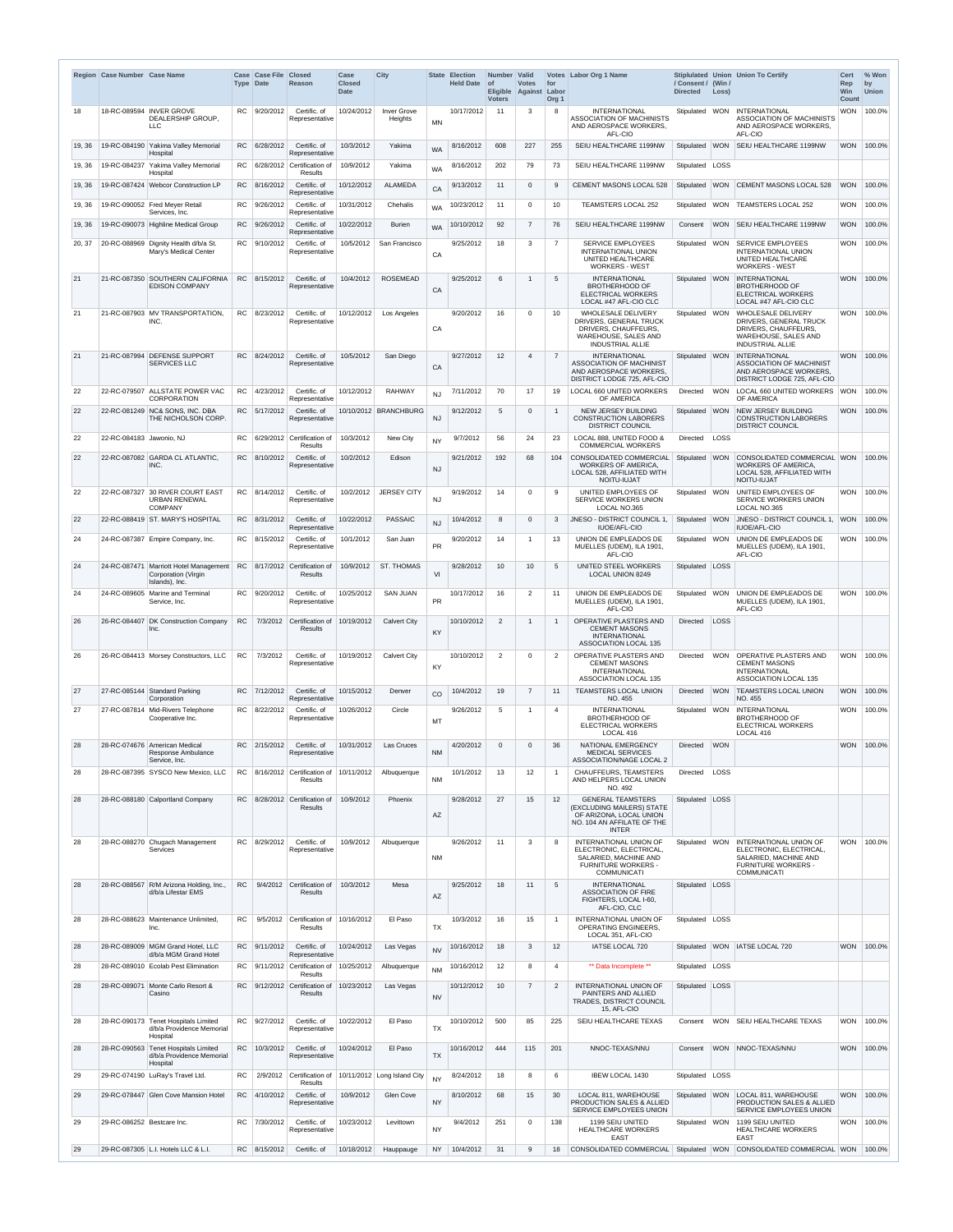|        | Region Case Number Case Name |                                                                               |           | Case Case File Closed<br><b>Type Date</b> | Reason                                              | Case<br><b>Closed</b><br><b>Date</b> | <b>City</b>                          |           | <b>State Election</b><br>Held Date of | Number Valid<br>Eligible Against Labor<br><b>Voters</b> | <b>Votes</b>    | for<br>Org <sub>1</sub> | Votes Labor Org 1 Name                                                                                                         | / Consent / (Win /<br><b>Directed</b> | Loss)      | Stiplulated Union Union To Certify                                                                                                           | <b>Cert</b><br>Rep<br><b>Win</b><br><b>Count</b> | % Won<br>by<br><b>Union</b> |
|--------|------------------------------|-------------------------------------------------------------------------------|-----------|-------------------------------------------|-----------------------------------------------------|--------------------------------------|--------------------------------------|-----------|---------------------------------------|---------------------------------------------------------|-----------------|-------------------------|--------------------------------------------------------------------------------------------------------------------------------|---------------------------------------|------------|----------------------------------------------------------------------------------------------------------------------------------------------|--------------------------------------------------|-----------------------------|
| 18     |                              | 18-RC-089594   INVER GROVE<br>DEALERSHIP GROUP,<br><b>LLC</b>                 |           | RC 9/20/2012                              | Certific. of<br>Representative                      | 10/24/2012                           | <b>Inver Grove</b><br><b>Heights</b> | <b>MN</b> | 10/17/2012                            | 11                                                      | 3               | 8                       | <b>INTERNATIONAL</b><br><b>ASSOCIATION OF MACHINISTS</b><br>AND AEROSPACE WORKERS,<br>AFL-CIO                                  | Stipulated WON                        |            | <b>INTERNATIONAL</b><br>ASSOCIATION OF MACHINISTS<br>AND AEROSPACE WORKERS,<br>AFL-CIO                                                       | <b>WON</b>                                       | 100.0%                      |
| 19, 36 | 19-RC-084190                 | Yakima Valley Memorial<br>Hospital                                            |           | RC 6/28/2012                              | Certific. of<br>Representative                      | 10/3/2012                            | Yakima                               | <b>WA</b> | 8/16/2012                             | 608                                                     | 227             | 255                     | SEIU HEALTHCARE 1199NW                                                                                                         | Stipulated                            | <b>WON</b> | SEIU HEALTHCARE 1199NW                                                                                                                       | <b>WON</b>                                       | 100.0%                      |
| 19, 36 | 19-RC-084237                 | Yakima Valley Memorial<br>Hospital                                            |           |                                           | $RC$ 6/28/2012 Certification of<br><b>Results</b>   | 10/9/2012                            | Yakima                               | <b>WA</b> | 8/16/2012                             | 202                                                     | 79              | 73                      | SEIU HEALTHCARE 1199NW                                                                                                         | Stipulated                            | LOSS       |                                                                                                                                              |                                                  |                             |
| 19, 36 |                              | 19-RC-087424 Webcor Construction LP                                           |           | RC 8/16/2012                              | Certific. of<br>Representative                      | 10/12/2012                           | <b>ALAMEDA</b>                       | CA        | 9/13/2012                             | 11                                                      | $\Omega$        | 9                       | <b>CEMENT MASONS LOCAL 528</b>                                                                                                 | Stipulated                            | <b>WON</b> | <b>CEMENT MASONS LOCAL 528</b>                                                                                                               | <b>WON</b>                                       | 100.0%                      |
| 19, 36 |                              | 19-RC-090052 Fred Meyer Retail<br>Services, Inc.                              | RC.       | 9/26/2012                                 | Certific. of<br>Representative                      | 10/31/2012                           | Chehalis                             | <b>WA</b> | 10/23/2012                            | 11                                                      | $\Omega$        | 10                      | TEAMSTERS LOCAL 252                                                                                                            | Stipulated                            | <b>WON</b> | <b>TEAMSTERS LOCAL 252</b>                                                                                                                   | <b>WON</b>                                       | 100.0%                      |
| 19, 36 |                              | 19-RC-090073 Highline Medical Group                                           | RC.       | 9/26/2012                                 | Certific. of<br>Representative                      | 10/22/2012                           | <b>Burien</b>                        | <b>WA</b> | 10/10/2012                            | 92                                                      |                 | 76                      | SEIU HEALTHCARE 1199NW                                                                                                         | Consent                               | <b>WON</b> | <b>SEIU HEALTHCARE 1199NW</b>                                                                                                                | <b>WON</b>                                       | 100.0%                      |
| 20, 37 |                              | 20-RC-088969 Dignity Health d/b/a St.<br>Mary's Medical Center                |           | RC 9/10/2012                              | Certific, of<br>Representative                      | 10/5/2012                            | San Francisco                        | CA        | 9/25/2012                             | 18                                                      | 3               | $\overline{7}$          | <b>SERVICE EMPLOYEES</b><br><b>INTERNATIONAL UNION</b><br>UNITED HEALTHCARE<br><b>WORKERS - WEST</b>                           | Stipulated   WON                      |            | <b>SERVICE EMPLOYEES</b><br><b>INTERNATIONAL UNION</b><br>UNITED HEALTHCARE<br><b>WORKERS - WEST</b>                                         | WON                                              | 100.0%                      |
| 21     | 21-RC-087350                 | SOUTHERN CALIFORNIA<br><b>EDISON COMPANY</b>                                  |           | RC 8/15/2012                              | Certific. of<br>Representative                      | 10/4/2012                            | <b>ROSEMEAD</b>                      | CA        | 9/25/2012                             | 6                                                       |                 | 5                       | <b>INTERNATIONAL</b><br><b>BROTHERHOOD OF</b><br><b>ELECTRICAL WORKERS</b><br>LOCAL #47 AFL-CIO CLC                            | Stipulated   WON                      |            | <b>INTERNATIONAL</b><br><b>BROTHERHOOD OF</b><br><b>ELECTRICAL WORKERS</b><br>LOCAL #47 AFL-CIO CLC                                          | <b>WON</b>                                       | 100.0%                      |
| 21     |                              | 21-RC-087903 MV TRANSPORTATION,<br>INC.                                       |           | RC 8/23/2012                              | Certific. of<br>Representative                      | 10/12/2012                           | Los Angeles                          | CA        | 9/20/2012                             | 16                                                      | $\Omega$        | 10                      | <b>WHOLESALE DELIVERY</b><br>DRIVERS, GENERAL TRUCK<br>DRIVERS, CHAUFFEURS,<br>WAREHOUSE, SALES AND<br><b>INDUSTRIAL ALLIE</b> | Stipulated WON                        |            | <b>WHOLESALE DELIVERY</b><br><b>DRIVERS, GENERAL TRUCK</b><br>DRIVERS, CHAUFFEURS,<br><b>WAREHOUSE, SALES AND</b><br><b>INDUSTRIAL ALLIE</b> | WON                                              | 100.0%                      |
| 21     |                              | 21-RC-087994 DEFENSE SUPPORT<br><b>SERVICES LLC</b>                           |           | RC 8/24/2012                              | Certific. of<br>Representative                      | 10/5/2012                            | San Diego                            | CA        | 9/27/2012                             | 12                                                      |                 | $\overline{7}$          | <b>INTERNATIONAL</b><br>ASSOCIATION OF MACHINIST<br>AND AEROSPACE WORKERS.<br>DISTRICT LODGE 725, AFL-CIO                      | Stipulated   WON                      |            | <b>INTERNATIONAL</b><br>ASSOCIATION OF MACHINIST<br>AND AEROSPACE WORKERS.<br>DISTRICT LODGE 725, AFL-CIO                                    | <b>WON</b>                                       | 100.0%                      |
| 22     |                              | 22-RC-079507 ALLSTATE POWER VAC<br><b>CORPORATION</b>                         | <b>RC</b> | 4/23/2012                                 | Certific. of<br>Representative                      | 10/12/2012                           | <b>RAHWAY</b>                        | NJ        | 7/11/2012                             | 70                                                      | 17              | 19                      | LOCAL 660 UNITED WORKERS<br>OF AMERICA                                                                                         | Directed                              | <b>WON</b> | LOCAL 660 UNITED WORKERS<br>OF AMERICA                                                                                                       | <b>WON</b>                                       | 100.0%                      |
| 22     |                              | 22-RC-081249 NC& SONS, INC. DBA<br>THE NICHOLSON CORP.                        |           | RC 5/17/2012                              | Certific. of<br>Representative                      | 10/10/2012                           | <b>BRANCHBURG</b>                    | <b>NJ</b> | 9/12/2012                             | 5                                                       | $\Omega$        | -1                      | NEW JERSEY BUILDING<br><b>CONSTRUCTION LABORERS</b><br><b>DISTRICT COUNCIL</b>                                                 | Stipulated   WON                      |            | <b>NEW JERSEY BUILDING</b><br><b>CONSTRUCTION LABORERS</b><br><b>DISTRICT COUNCIL</b>                                                        | <b>WON</b>                                       | 100.0%                      |
| 22     | 22-RC-084183 Jawonio, NJ     |                                                                               | RC.       |                                           | 6/29/2012 Certification of<br><b>Results</b>        | 10/3/2012                            | New City                             | <b>NY</b> | 9/7/2012                              | 56                                                      | 24              | 23                      | LOCAL 888, UNITED FOOD &<br><b>COMMERCIAL WORKERS</b>                                                                          | Directed                              | LOSS       |                                                                                                                                              |                                                  |                             |
| 22     |                              | 22-RC-087082 GARDA CL ATLANTIC,<br>INC.                                       |           | RC 8/10/2012                              | Certific. of<br>Representative                      | 10/2/2012                            | Edison                               | <b>NJ</b> | 9/21/2012                             | 192                                                     | 68              | 104                     | CONSOLIDATED COMMERCIAL<br><b>WORKERS OF AMERICA,</b><br>LOCAL 528. AFFILIATED WITH<br>NOITU-IUJAT                             | Stipulated WON                        |            | CONSOLIDATED COMMERCIAL WON<br><b>WORKERS OF AMERICA</b><br>LOCAL 528, AFFILIATED WITH<br>NOITU-IUJAT                                        |                                                  | 100.0%                      |
| 22     | 22-RC-087327                 | 30 RIVER COURT EAST<br><b>URBAN RENEWAL</b><br><b>COMPANY</b>                 |           | RC 8/14/2012                              | Certific. of<br>Representative                      | 10/2/2012                            | <b>JERSEY CITY</b>                   | <b>NJ</b> | 9/19/2012                             | 14                                                      | $\Omega$        | 9                       | UNITED EMPLOYEES OF<br><b>SERVICE WORKERS UNION</b><br>LOCAL NO.365                                                            | Stipulated   WON                      |            | UNITED EMPLOYEES OF<br><b>SERVICE WORKERS UNION</b><br>LOCAL NO.365                                                                          | <b>WON</b>                                       | 100.0%                      |
| 22     |                              | 22-RC-088419 ST. MARY'S HOSPITAL                                              |           | RC 8/31/2012                              | Certific. of<br>Representative                      | 10/22/2012                           | <b>PASSAIC</b>                       | <b>NJ</b> | 10/4/2012                             | 8                                                       | $\Omega$        | 3                       | JNESO - DISTRICT COUNCIL 1<br><b>IUOE/AFL-CIO</b>                                                                              | Stipulated WON                        |            | JNESO - DISTRICT COUNCIL 1,<br>IUOE/AFL-CIO                                                                                                  | <b>WON</b>                                       | 100.0%                      |
| 24     |                              | 24-RC-087387 Empire Company, Inc.                                             |           | RC 8/15/2012                              | Certific. of<br>Representative                      | 10/1/2012                            | San Juan                             | <b>PR</b> | 9/20/2012                             | 14                                                      |                 | 13                      | UNION DE EMPLEADOS DE<br>MUELLES (UDEM), ILA 1901,<br>AFL-CIO                                                                  | Stipulated WON                        |            | UNION DE EMPLEADOS DE<br>MUELLES (UDEM), ILA 1901,<br>AFL-CIO                                                                                | <b>WON</b>                                       | 100.0%                      |
| 24     | 24-RC-087471                 | Marriott Hotel Management<br>Corporation (Virgin<br>Islands), Inc.            | <b>RC</b> |                                           | 8/17/2012 Certification of<br><b>Results</b>        | 10/9/2012                            | <b>ST. THOMAS</b>                    | VI        | 9/28/2012                             | 10                                                      | 10 <sup>1</sup> | $5\phantom{.0}$         | UNITED STEEL WORKERS<br>LOCAL UNION 8249                                                                                       | Stipulated   LOSS                     |            |                                                                                                                                              |                                                  |                             |
| 24     | 24-RC-089605                 | <b>Marine and Terminal</b><br>Service, Inc.                                   |           | RC 9/20/2012                              | Certific. of<br>Representative                      | 10/25/2012                           | <b>SAN JUAN</b>                      | PR        | 10/17/2012                            | 16                                                      | $\overline{2}$  | 11                      | UNION DE EMPLEADOS DE<br>MUELLES (UDEM), ILA 1901,<br>AFL-CIO                                                                  | Stipulated WON                        |            | UNION DE EMPLEADOS DE<br>MUELLES (UDEM), ILA 1901,<br>AFL-CIO                                                                                | WON                                              | 100.0%                      |
| 26     | 26-RC-084407                 | DK Construction Company<br>Inc.                                               | <b>RC</b> |                                           | 7/3/2012 Certification of<br>Results                | 10/19/2012                           | <b>Calvert City</b>                  | KY        | 10/10/2012                            | 2                                                       |                 | -1                      | OPERATIVE PLASTERS AND<br><b>CEMENT MASONS</b><br><b>INTERNATIONAL</b><br><b>ASSOCIATION LOCAL 135</b>                         | Directed                              | LOSS       |                                                                                                                                              |                                                  |                             |
| 26     |                              | 26-RC-084413 Morsey Constructors, LLC                                         | <b>RC</b> | 7/3/2012                                  | Certific. of<br>Representative                      | 10/19/2012                           | <b>Calvert City</b>                  | KY        | 10/10/2012                            | 2                                                       | $\Omega$        | $\overline{2}$          | <b>OPERATIVE PLASTERS AND</b><br><b>CEMENT MASONS</b><br><b>INTERNATIONAL</b><br><b>ASSOCIATION LOCAL 135</b>                  | Directed                              | <b>WON</b> | <b>OPERATIVE PLASTERS AND</b><br><b>CEMENT MASONS</b><br><b>INTERNATIONAL</b><br>ASSOCIATION LOCAL 135                                       | <b>WON</b>                                       | 100.0%                      |
| 27     |                              | 27-RC-085144 Standard Parking<br>Corporation                                  |           | RC 7/12/2012                              | Certific. of<br>Representative                      | 10/15/2012                           | Denver                               | CO        | 10/4/2012                             | 19                                                      | $\overline{7}$  | 11                      | <b>TEAMSTERS LOCAL UNION</b><br>NO. 455                                                                                        | Directed                              | <b>WON</b> | <b>TEAMSTERS LOCAL UNION</b><br>NO. 455                                                                                                      | <b>WON</b>                                       | 100.0%                      |
| 27     | 27-RC-087814                 | Mid-Rivers Telephone<br>Cooperative Inc.                                      |           | RC 8/22/2012                              | Certific. of<br>Representative                      | 10/26/2012                           | Circle                               | MT        | 9/26/2012                             | 5                                                       |                 | $\overline{4}$          | <b>INTERNATIONAL</b><br><b>BROTHERHOOD OF</b><br><b>ELECTRICAL WORKERS</b><br>LOCAL 416                                        | Stipulated WON                        |            | <b>INTERNATIONAL</b><br><b>BROTHERHOOD OF</b><br><b>ELECTRICAL WORKERS</b><br>LOCAL 416                                                      | WON                                              | 100.0%                      |
| 28     |                              | 28-RC-074676 American Medical<br>Response Ambulance<br>Service, Inc.          |           | RC 2/15/2012                              | Certific. of<br>Representative                      | 10/31/2012                           | Las Cruces                           | <b>NM</b> | 4/20/2012                             | $\Omega$                                                | $\Omega$        | 36                      | NATIONAL EMERGENCY<br><b>MEDICAL SERVICES</b><br>ASSOCIATION/NAGE LOCAL 2                                                      | Directed                              | <b>WON</b> |                                                                                                                                              | <b>WON</b>                                       | 100.0%                      |
| 28     |                              | 28-RC-087395 SYSCO New Mexico, LLC                                            |           |                                           | RC 8/16/2012 Certification of 10/11/2012<br>Results |                                      | Albuquerque                          | <b>NM</b> | 10/1/2012                             | 13                                                      | 12              | - 1                     | <b>CHAUFFEURS, TEAMSTERS</b><br>AND HELPERS LOCAL UNION<br>NO. 492                                                             | Directed                              | LOSS       |                                                                                                                                              |                                                  |                             |
| 28     |                              | 28-RC-088180 Calportland Company                                              |           |                                           | RC 8/28/2012 Certification of<br>Results            | 10/9/2012                            | Phoenix                              | AZ        | 9/28/2012                             | 27                                                      | 15              | 12 <sup>2</sup>         | <b>GENERAL TEAMSTERS</b><br>(EXCLUDING MAILERS) STATE<br>OF ARIZONA, LOCAL UNION<br>NO. 104 AN AFFILATE OF THE<br><b>INTER</b> | Stipulated   LOSS                     |            |                                                                                                                                              |                                                  |                             |
| 28     |                              | 28-RC-088270 Chugach Management<br><b>Services</b>                            |           | RC 8/29/2012                              | Certific. of<br>Representative                      | 10/9/2012                            | Albuquerque                          | <b>NM</b> | 9/26/2012                             | 11                                                      | 3               | 8                       | <b>INTERNATIONAL UNION OF</b><br>ELECTRONIC, ELECTRICAL,<br>SALARIED, MACHINE AND<br>FURNITURE WORKERS -<br><b>COMMUNICATI</b> | Stipulated   WON                      |            | <b>INTERNATIONAL UNION OF</b><br>ELECTRONIC, ELECTRICAL,<br>SALARIED, MACHINE AND<br><b>FURNITURE WORKERS -</b><br><b>COMMUNICATI</b>        | WON                                              | 100.0%                      |
| 28     |                              | 28-RC-088567 R/M Arizona Holding, Inc.,<br>d/b/a Lifestar EMS                 | RC.       |                                           | 9/4/2012 Certification of<br><b>Results</b>         | 10/3/2012                            | Mesa                                 | AZ        | 9/25/2012                             | 18                                                      | 11              | $5\overline{)}$         | <b>INTERNATIONAL</b><br>ASSOCIATION OF FIRE<br>FIGHTERS, LOCAL I-60,<br>AFL-CIO, CLC                                           | Stipulated   LOSS                     |            |                                                                                                                                              |                                                  |                             |
| 28     |                              | 28-RC-088623 Maintenance Unlimited,<br>Inc.                                   | RC.       |                                           | 9/5/2012 Certification of<br><b>Results</b>         | 10/16/2012                           | El Paso                              | <b>TX</b> | 10/3/2012                             | 16                                                      | 15              | $\overline{1}$          | <b>INTERNATIONAL UNION OF</b><br><b>OPERATING ENGINEERS,</b><br>LOCAL 351, AFL-CIO                                             | Stipulated   LOSS                     |            |                                                                                                                                              |                                                  |                             |
| 28     |                              | 28-RC-089009 MGM Grand Hotel, LLC<br>d/b/a MGM Grand Hotel                    | <b>RC</b> | 9/11/2012                                 | Certific. of<br>Representative                      | 10/24/2012                           | Las Vegas                            | <b>NV</b> | 10/16/2012                            | 18                                                      | 3               | 12                      | IATSE LOCAL 720                                                                                                                |                                       |            | Stipulated   WON   IATSE LOCAL 720                                                                                                           |                                                  | WON 100.0%                  |
| 28     | 28-RC-089010                 | <b>Ecolab Pest Elimination</b>                                                |           |                                           | $RC$   9/11/2012 Certification of<br><b>Results</b> | 10/25/2012                           | Albuquerque                          | <b>NM</b> | 10/16/2012                            | 12                                                      | 8               | $\overline{4}$          | ** Data Incomplete **                                                                                                          | Stipulated   LOSS                     |            |                                                                                                                                              |                                                  |                             |
| 28     | 28-RC-089071                 | Monte Carlo Resort &<br>Casino                                                | RC.       |                                           | 9/12/2012 Certification of<br>Results               | 10/23/2012                           | Las Vegas                            | <b>NV</b> | 10/12/2012                            | 10                                                      | $\overline{7}$  | 2                       | <b>INTERNATIONAL UNION OF</b><br>PAINTERS AND ALLIED<br><b>TRADES, DISTRICT COUNCIL</b><br>15, AFL-CIO                         | Stipulated   LOSS                     |            |                                                                                                                                              |                                                  |                             |
| 28     |                              | 28-RC-090173 Tenet Hospitals Limited<br>d/b/a Providence Memorial<br>Hospital |           | RC 9/27/2012                              | Certific. of<br>Representative                      | 10/22/2012                           | El Paso                              | <b>TX</b> | 10/10/2012                            | 500                                                     | 85              | 225                     | SEIU HEALTHCARE TEXAS                                                                                                          | Consent                               |            | WON SEIU HEALTHCARE TEXAS                                                                                                                    |                                                  | WON 100.0%                  |
| 28     |                              | 28-RC-090563 Tenet Hospitals Limited<br>d/b/a Providence Memorial<br>Hospital | <b>RC</b> | 10/3/2012                                 | Certific. of<br>Representative                      | 10/24/2012                           | El Paso                              | <b>TX</b> | 10/16/2012                            | 444                                                     | 115             | 201                     | NNOC-TEXAS/NNU                                                                                                                 | Consent                               |            | WON NNOC-TEXAS/NNU                                                                                                                           | <b>WON</b>                                       | 100.0%                      |
| 29     |                              | 29-RC-074190 LuRay's Travel Ltd.                                              | RC.       |                                           | 2/9/2012 Certification of<br><b>Results</b>         |                                      | 10/11/2012 Long Island City          | <b>NY</b> | 8/24/2012                             | 18                                                      | 8               | 6                       | <b>IBEW LOCAL 1430</b>                                                                                                         | Stipulated   LOSS                     |            |                                                                                                                                              |                                                  |                             |
| 29     |                              | 29-RC-078447 Glen Cove Mansion Hotel                                          |           | RC 4/10/2012                              | Certific. of<br>Representative                      | 10/9/2012                            | Glen Cove                            | <b>NY</b> | 8/10/2012                             | 68                                                      | 15              | 30                      | LOCAL 811, WAREHOUSE<br>PRODUCTION SALES & ALLIED<br>SERVICE EMPLOYEES UNION                                                   | Stipulated   WON                      |            | LOCAL 811, WAREHOUSE<br><b>PRODUCTION SALES &amp; ALLIED</b><br><b>SERVICE EMPLOYEES UNION</b>                                               | WON                                              | 100.0%                      |
| 29     | 29-RC-086252 Bestcare Inc.   |                                                                               | <b>RC</b> | 7/30/2012                                 | Certific. of<br>Representative                      | 10/23/2012                           | Levittown                            | <b>NY</b> | 9/4/2012                              | 251                                                     | $\mathbf 0$     | 138                     | 1199 SEIU UNITED<br>HEALTHCARE WORKERS<br><b>EAST</b>                                                                          | Stipulated WON                        |            | 1199 SEIU UNITED<br>HEALTHCARE WORKERS<br><b>EAST</b>                                                                                        | WON                                              | 100.0%                      |
| 29     |                              | 29-RC-087305 L.I. Hotels LLC & L.I.                                           |           | RC 8/15/2012                              | Certific. of                                        | 10/18/2012                           | Hauppauge                            | <b>NY</b> | 10/4/2012                             | 31                                                      | 9               | 18                      | CONSOLIDATED COMMERCIAL Stipulated WON CONSOLIDATED COMMERCIAL WON 100.0%                                                      |                                       |            |                                                                                                                                              |                                                  |                             |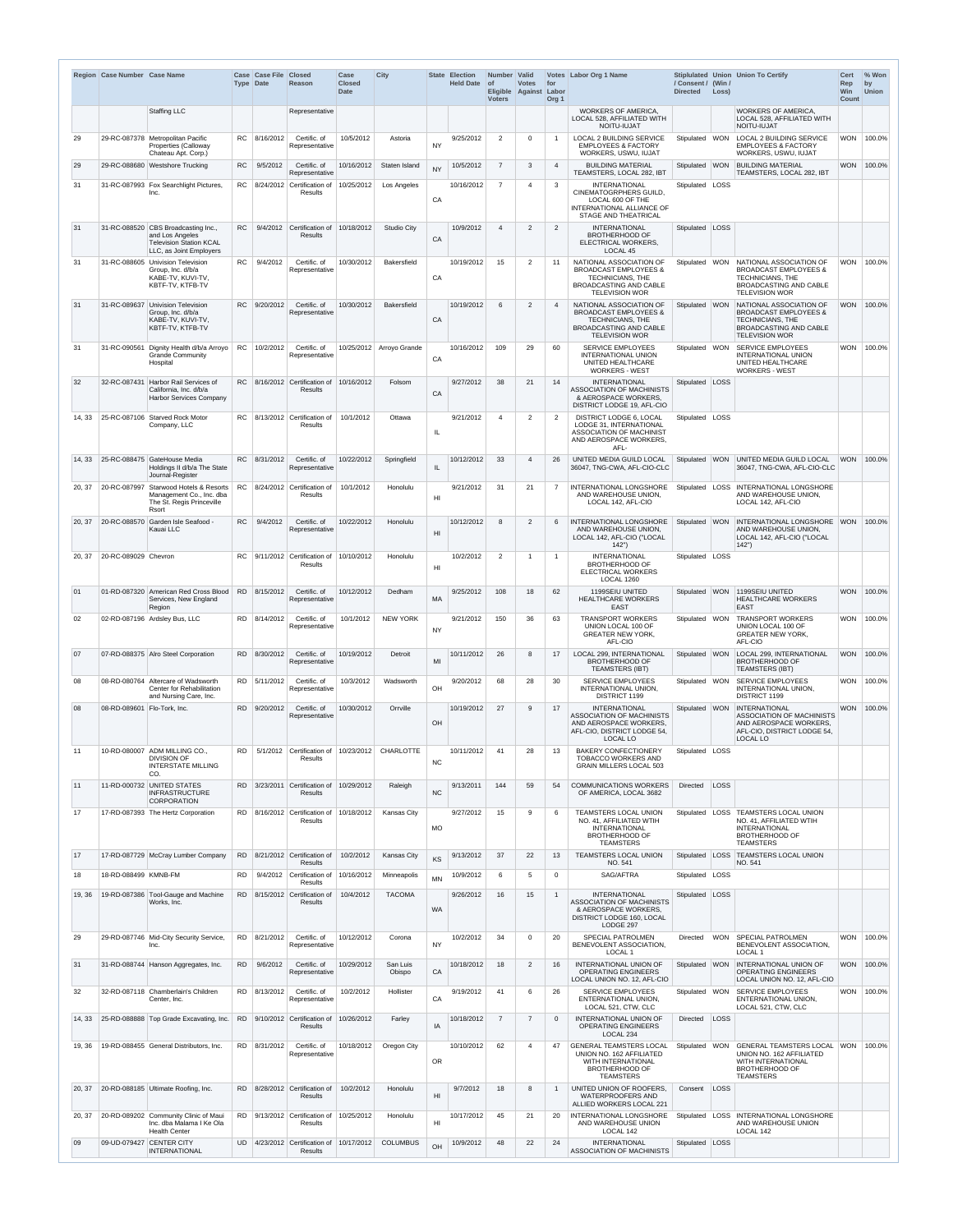|        | Region Case Number Case Name |                                                                                                                     |           | Case Case File<br><b>Type Date</b> | <b>Closed</b><br><b>Reason</b>                              | Case<br><b>Closed</b><br><b>Date</b> | <b>City</b>        | <b>State</b>    | <b>Election</b><br><b>Held Date</b> | Number Valid<br>$\circ$ f<br><b>Voters</b> | <b>Votes</b><br>Eligible Against Labor | for<br>Org <sub>1</sub> | Votes Labor Org 1 Name                                                                                                                           | / Consent / (Win /<br><b>Directed</b> | Loss)      | Stiplulated Union Union To Certify                                                                                                               | <b>Cert</b><br>Rep<br>Win<br><b>Count</b> | % Won<br>by<br><b>Union</b> |
|--------|------------------------------|---------------------------------------------------------------------------------------------------------------------|-----------|------------------------------------|-------------------------------------------------------------|--------------------------------------|--------------------|-----------------|-------------------------------------|--------------------------------------------|----------------------------------------|-------------------------|--------------------------------------------------------------------------------------------------------------------------------------------------|---------------------------------------|------------|--------------------------------------------------------------------------------------------------------------------------------------------------|-------------------------------------------|-----------------------------|
|        |                              | <b>Staffing LLC</b>                                                                                                 |           |                                    | Representative                                              |                                      |                    |                 |                                     |                                            |                                        |                         | <b>WORKERS OF AMERICA,</b><br>LOCAL 528. AFFILIATED WITH<br>NOITU-IUJAT                                                                          |                                       |            | <b>WORKERS OF AMERICA.</b><br>LOCAL 528, AFFILIATED WITH<br>NOITU-IUJAT                                                                          |                                           |                             |
| 29     | 29-RC-087378                 | Metropolitan Pacific<br>Properties (Calloway<br>Chateau Apt. Corp.)                                                 | RC.       | 8/16/2012                          | Certific. of<br>Representative                              | 10/5/2012                            | Astoria            | <b>NY</b>       | 9/25/2012                           | $\overline{2}$                             | $\Omega$                               |                         | <b>LOCAL 2 BUILDING SERVICE</b><br><b>EMPLOYEES &amp; FACTORY</b><br>WORKERS, USWU, IUJAT                                                        | Stipulated   WON                      |            | <b>LOCAL 2 BUILDING SERVICE</b><br><b>EMPLOYEES &amp; FACTORY</b><br>WORKERS, USWU, IUJAT                                                        | <b>WON</b>                                | 100.0%                      |
| 29     | 29-RC-088680                 | <b>Westshore Trucking</b>                                                                                           | <b>RC</b> | 9/5/2012                           | Certific. of<br>Representative                              | 10/16/2012                           | Staten Island      | <b>NY</b>       | 10/5/2012                           | $\overline{7}$                             | 3                                      | $\overline{4}$          | <b>BUILDING MATERIAL</b><br>TEAMSTERS, LOCAL 282, IBT                                                                                            | Stipulated                            | <b>WON</b> | <b>BUILDING MATERIAL</b><br>TEAMSTERS, LOCAL 282, IBT                                                                                            | <b>WON</b>                                | 100.0%                      |
| 31     | 31-RC-087993                 | Fox Searchlight Pictures,<br>Inc.                                                                                   |           |                                    | RC   $8/24/2012$   Certification of<br>Results              | 10/25/2012                           | Los Angeles        | CA              | 10/16/2012                          | $\overline{7}$                             |                                        | $\mathbf{3}$            | <b>INTERNATIONAL</b><br>CINEMATOGRPHERS GUILD,<br>LOCAL 600 OF THE<br>INTERNATIONAL ALLIANCE OF<br><b>STAGE AND THEATRICAL</b>                   | Stipulated                            | LOSS       |                                                                                                                                                  |                                           |                             |
| 31     |                              | 31-RC-088520 CBS Broadcasting Inc.,<br>and Los Angeles<br><b>Television Station KCAL</b><br>LLC, as Joint Employers | <b>RC</b> |                                    | 9/4/2012 Certification of<br><b>Results</b>                 | 10/18/2012                           | <b>Studio City</b> | CA              | 10/9/2012                           | $\overline{4}$                             | $\overline{2}$                         | 2                       | <b>INTERNATIONAL</b><br><b>BROTHERHOOD OF</b><br>ELECTRICAL WORKERS,<br>LOCAL 45                                                                 | Stipulated                            | LOSS       |                                                                                                                                                  |                                           |                             |
| 31     | 31-RC-088605                 | <b>Univision Television</b><br>Group, Inc. d/b/a<br>KABE-TV, KUVI-TV,<br>KBTF-TV, KTFB-TV                           | RC.       | 9/4/2012                           | Certific, of<br>Representative                              | 10/30/2012                           | <b>Bakersfield</b> | CA              | 10/19/2012                          | 15                                         | $\overline{2}$                         | 11                      | NATIONAL ASSOCIATION OF<br><b>BROADCAST EMPLOYEES &amp;</b><br><b>TECHNICIANS, THE</b><br><b>BROADCASTING AND CABLE</b><br><b>TELEVISION WOR</b> | Stipulated WON                        |            | NATIONAL ASSOCIATION OF<br><b>BROADCAST EMPLOYEES &amp;</b><br>TECHNICIANS, THE<br><b>BROADCASTING AND CABLE</b><br><b>TELEVISION WOR</b>        | WON                                       | 100.0%                      |
| 31     | 31-RC-089637                 | Univision Television<br>Group, Inc. d/b/a<br>KABE-TV, KUVI-TV,<br>KBTF-TV, KTFB-TV                                  | RC        | 9/20/2012                          | Certific. of<br>Representative                              | 10/30/2012                           | <b>Bakersfield</b> | CA              | 10/19/2012                          | 6                                          | 2                                      | 4                       | NATIONAL ASSOCIATION OF<br><b>BROADCAST EMPLOYEES &amp;</b><br>TECHNICIANS, THE<br>BROADCASTING AND CABLE<br><b>TELEVISION WOR</b>               | Stipulated WON                        |            | NATIONAL ASSOCIATION OF<br><b>BROADCAST EMPLOYEES &amp;</b><br><b>TECHNICIANS, THE</b><br><b>BROADCASTING AND CABLE</b><br><b>TELEVISION WOR</b> | <b>WON</b>                                | 100.0%                      |
| 31     | 31-RC-090561                 | Dignity Health d/b/a Arroyo<br><b>Grande Community</b><br>Hospital                                                  | RC.       | 10/2/2012                          | Certific, of<br>Representative                              | 10/25/2012                           | Arroyo Grande      | CA              | 10/16/2012                          | 109                                        | 29                                     | 60                      | <b>SERVICE EMPLOYEES</b><br><b>INTERNATIONAL UNION</b><br>UNITED HEALTHCARE<br><b>WORKERS - WEST</b>                                             | Stipulated   WON                      |            | <b>SERVICE EMPLOYEES</b><br><b>INTERNATIONAL UNION</b><br>UNITED HEALTHCARE<br><b>WORKERS - WEST</b>                                             | <b>WON</b>                                | 100.0%                      |
| 32     | 32-RC-087431                 | Harbor Rail Services of<br>California, Inc. d/b/a<br>Harbor Services Company                                        | <b>RC</b> |                                    | 8/16/2012 Certification of<br>Results                       | 10/16/2012                           | Folsom             | CA              | 9/27/2012                           | 38                                         | 21                                     | 14                      | <b>INTERNATIONAL</b><br><b>ASSOCIATION OF MACHINISTS</b><br>& AEROSPACE WORKERS,<br>DISTRICT LODGE 19, AFL-CIO                                   | Stipulated                            | LOSS       |                                                                                                                                                  |                                           |                             |
| 14, 33 | 25-RC-087106                 | <b>Starved Rock Motor</b><br>Company, LLC                                                                           |           |                                    | $RC$   8/13/2012   Certification of<br>Results              | 10/1/2012                            | Ottawa             | -IL             | 9/21/2012                           | $\overline{4}$                             | 2                                      | $\overline{2}$          | <b>DISTRICT LODGE 6, LOCAL</b><br><b>LODGE 31. INTERNATIONAL</b><br>ASSOCIATION OF MACHINIST<br>AND AEROSPACE WORKERS.<br>AFL-                   | Stipulated                            | LOSS       |                                                                                                                                                  |                                           |                             |
| 14, 33 |                              | 25-RC-088475 GateHouse Media<br>Holdings II d/b/a The State<br>Journal-Register                                     | RC.       | 8/31/2012                          | Certific. of<br>Representative                              | 10/22/2012                           | Springfield        | IL              | 10/12/2012                          | 33                                         |                                        | 26                      | UNITED MEDIA GUILD LOCAL<br>36047, TNG-CWA, AFL-CIO-CLC                                                                                          | Stipulated                            | <b>WON</b> | UNITED MEDIA GUILD LOCAL<br>36047, TNG-CWA, AFL-CIO-CLC                                                                                          | <b>WON</b>                                | 100.0%                      |
| 20, 37 | 20-RC-087997                 | Starwood Hotels & Resorts<br>Management Co., Inc. dba<br>The St. Regis Princeville<br>Rsort                         | RC.       |                                    | 8/24/2012 Certification of<br>Results                       | 10/1/2012                            | Honolulu           | HI              | 9/21/2012                           | 31                                         | 21                                     | $\overline{7}$          | INTERNATIONAL LONGSHORE<br>AND WAREHOUSE UNION,<br>LOCAL 142, AFL-CIO                                                                            | Stipulated                            |            | <b>LOSS INTERNATIONAL LONGSHORE</b><br>AND WAREHOUSE UNION.<br>LOCAL 142, AFL-CIO                                                                |                                           |                             |
| 20, 37 | 20-RC-088570                 | Garden Isle Seafood -<br>Kauai LLC                                                                                  | <b>RC</b> | 9/4/2012                           | Certific. of<br>Representative                              | 10/22/2012                           | Honolulu           | H <sub>II</sub> | 10/12/2012                          | 8                                          | 2                                      | 6                       | INTERNATIONAL LONGSHORE<br>AND WAREHOUSE UNION,<br>LOCAL 142, AFL-CIO ("LOCAL<br>142")                                                           | Stipulated                            | WON        | INTERNATIONAL LONGSHORE WON<br>AND WAREHOUSE UNION,<br>LOCAL 142, AFL-CIO ("LOCAL<br>142")                                                       |                                           | 100.0%                      |
| 20, 37 | 20-RC-089029 Chevron         |                                                                                                                     | RC.       |                                    | 9/11/2012 Certification of<br>Results                       | 10/10/2012                           | Honolulu           | HI              | 10/2/2012                           | 2                                          |                                        | $\overline{1}$          | <b>INTERNATIONAL</b><br><b>BROTHERHOOD OF</b><br><b>ELECTRICAL WORKERS</b><br><b>LOCAL 1260</b>                                                  | Stipulated                            | LOSS       |                                                                                                                                                  |                                           |                             |
| 01     |                              | 01-RD-087320 American Red Cross Blood<br>Services, New England<br>Region                                            |           | RD 8/15/2012                       | Certific. of<br>Representative                              | 10/12/2012                           | Dedham             | <b>MA</b>       | 9/25/2012                           | 108                                        | 18                                     | 62                      | 1199SEIU UNITED<br><b>HEALTHCARE WORKERS</b><br><b>EAST</b>                                                                                      | Stipulated                            | <b>WON</b> | 1199SEIU UNITED<br><b>HEALTHCARE WORKERS</b><br><b>EAST</b>                                                                                      | <b>WON</b>                                | 100.0%                      |
| 02     |                              | 02-RD-087196 Ardsley Bus, LLC                                                                                       |           | RD 8/14/2012                       | Certific. of<br>Representative                              | 10/1/2012                            | <b>NEW YORK</b>    | <b>NY</b>       | 9/21/2012                           | 150                                        | 36                                     | 63                      | <b>TRANSPORT WORKERS</b><br>UNION LOCAL 100 OF<br><b>GREATER NEW YORK,</b><br>AFL-CIO                                                            | Stipulated WON                        |            | <b>TRANSPORT WORKERS</b><br>UNION LOCAL 100 OF<br><b>GREATER NEW YORK,</b><br>AFL-CIO                                                            | <b>WON</b>                                | 100.0%                      |
| 07     |                              | 07-RD-088375 Alro Steel Corporation                                                                                 | RD.       | 8/30/2012                          | Certific, of<br>Representative                              | 10/19/2012                           | Detroit            | MI              | 10/11/2012                          | 26                                         | <sup>8</sup>                           | 17                      | LOCAL 299, INTERNATIONAL<br><b>BROTHERHOOD OF</b><br><b>TEAMSTERS (IBT)</b>                                                                      | Stipulated WON                        |            | LOCAL 299, INTERNATIONAL<br><b>BROTHERHOOD OF</b><br><b>TEAMSTERS (IBT)</b>                                                                      | <b>WON</b>                                | 100.0%                      |
| 08     | 08-RD-080764                 | Altercare of Wadsworth<br>Center for Rehabilitation<br>and Nursing Care, Inc.                                       |           | RD 5/11/2012                       | Certific. of<br>Representative                              | 10/3/2012                            | Wadsworth          | OH              | 9/20/2012                           | 68                                         | 28                                     | 30                      | <b>SERVICE EMPLOYEES</b><br>INTERNATIONAL UNION,<br><b>DISTRICT 1199</b>                                                                         | Stipulated WON                        |            | <b>SERVICE EMPLOYEES</b><br>INTERNATIONAL UNION,<br><b>DISTRICT 1199</b>                                                                         | <b>WON</b>                                | 100.0%                      |
| 08     | 08-RD-089601 Flo-Tork, Inc.  |                                                                                                                     | RD.       | 9/20/2012                          | Certific, of<br>Representative                              | 10/30/2012                           | Orrville           | OH              | 10/19/2012                          | 27                                         | $\mathbf{Q}$                           | 17                      | <b>INTERNATIONAL</b><br><b>ASSOCIATION OF MACHINISTS</b><br>AND AEROSPACE WORKERS,<br>AFL-CIO, DISTRICT LODGE 54,<br>LOCAL LO                    | Stipulated WON                        |            | <b>INTERNATIONAL</b><br>ASSOCIATION OF MACHINISTS<br>AND AEROSPACE WORKERS.<br>AFL-CIO, DISTRICT LODGE 54,<br>LOCAL LO                           | <b>WON</b>                                | 100.0%                      |
| 11     |                              | 10-RD-080007 ADM MILLING CO<br><b>DIVISION OF</b><br><b>INTERSTATE MILLING</b><br>CO.                               | RD.       |                                    | 5/1/2012 Certification of<br>Results                        | 10/23/2012                           | <b>CHARLOTTE</b>   | <b>NC</b>       | 10/11/2012                          | 41                                         | 28                                     | 13                      | <b>BAKERY CONFECTIONERY</b><br><b>TOBACCO WORKERS AND</b><br><b>GRAIN MILLERS LOCAL 503</b>                                                      | Stipulated   LOSS                     |            |                                                                                                                                                  |                                           |                             |
| 11     |                              | 11-RD-000732 UNITED STATES<br><b>INFRASTRUCTURE</b><br><b>CORPORATION</b>                                           | RD.       |                                    | 3/23/2011 Certification of<br>Results                       | 10/29/2012                           | Raleigh            | <b>NC</b>       | 9/13/2011                           | 144                                        | 59                                     | 54                      | <b>COMMUNICATIONS WORKERS</b><br>OF AMERICA, LOCAL 3682                                                                                          | <b>Directed</b>                       | LOSS       |                                                                                                                                                  |                                           |                             |
| 17     |                              | 17-RD-087393 The Hertz Corporation                                                                                  |           |                                    | RD   8/16/2012   Certification of   10/18/2012  <br>Results |                                      | Kansas City        | <b>MO</b>       | 9/27/2012                           | 15                                         | Q                                      | 6                       | <b>TEAMSTERS LOCAL UNION</b><br>NO. 41. AFFILIATED WTIH<br><b>INTERNATIONAL</b><br><b>BROTHERHOOD OF</b><br><b>TEAMSTERS</b>                     | Stipulated                            |            | <b>LOSS TEAMSTERS LOCAL UNION</b><br>NO. 41. AFFILIATED WTIH<br><b>INTERNATIONAL</b><br><b>BROTHERHOOD OF</b><br><b>TEAMSTERS</b>                |                                           |                             |
| 17     |                              | 17-RD-087729 McCray Lumber Company                                                                                  |           |                                    | RD 8/21/2012 Certification of<br><b>Results</b>             | 10/2/2012                            | Kansas City        | KS              | 9/13/2012                           | 37                                         | 22                                     | 13                      | TEAMSTERS LOCAL UNION<br>NO. 541                                                                                                                 | Stipulated LOSS                       |            | <b>TEAMSTERS LOCAL UNION</b><br>NO. 541                                                                                                          |                                           |                             |
| 18     | 18-RD-088499 KMNB-FM         |                                                                                                                     | <b>RD</b> |                                    | 9/4/2012 Certification of<br><b>Results</b>                 | 10/16/2012                           | Minneapolis        | <b>MN</b>       | 10/9/2012                           | 6                                          | -5                                     | $\mathbf{0}$            | SAG/AFTRA                                                                                                                                        | Stipulated   LOSS                     |            |                                                                                                                                                  |                                           |                             |
| 19, 36 |                              | 19-RD-087386 Tool-Gauge and Machine<br>Works, Inc.                                                                  |           |                                    | RD 8/15/2012 Certification of<br>Results                    | 10/4/2012                            | <b>TACOMA</b>      | WA              | 9/26/2012                           | 16                                         | 15                                     | $\overline{1}$          | <b>INTERNATIONAL</b><br><b>ASSOCIATION OF MACHINISTS</b><br>& AEROSPACE WORKERS,<br>DISTRICT LODGE 160, LOCAL<br>LODGE 297                       | Stipulated                            | LOSS       |                                                                                                                                                  |                                           |                             |
| 29     |                              | 29-RD-087746 Mid-City Security Service,<br>Inc.                                                                     |           | RD 8/21/2012                       | Certific. of<br>Representative                              | 10/12/2012                           | Corona             | <b>NY</b>       | 10/2/2012                           | 34                                         | $\Omega$                               | 20                      | SPECIAL PATROLMEN<br>BENEVOLENT ASSOCIATION,<br>LOCAL 1                                                                                          | Directed                              | <b>WON</b> | <b>SPECIAL PATROLMEN</b><br>BENEVOLENT ASSOCIATION,<br>LOCAL 1                                                                                   | <b>WON</b>                                | 100.0%                      |
| 31     |                              | 31-RD-088744 Hanson Aggregates, Inc.                                                                                | RD.       | 9/6/2012                           | Certific, of<br>Representative                              | 10/29/2012                           | San Luis<br>Obispo | CA              | 10/18/2012                          | 18                                         | 2                                      | 16                      | <b>INTERNATIONAL UNION OF</b><br><b>OPERATING ENGINEERS</b><br>LOCAL UNION NO. 12, AFL-CIO                                                       | Stipulated WON                        |            | INTERNATIONAL UNION OF<br><b>OPERATING ENGINEERS</b><br>LOCAL UNION NO. 12, AFL-CIO                                                              | <b>WON</b>                                | 100.0%                      |
| 32     |                              | 32-RD-087118 Chamberlain's Children<br>Center, Inc.                                                                 |           | RD 8/13/2012                       | Certific, of<br>Representative                              | 10/2/2012                            | Hollister          | CA              | 9/19/2012                           | 41                                         | 6                                      | 26                      | <b>SERVICE EMPLOYEES</b><br><b>ENTERNATIONAL UNION,</b><br>LOCAL 521, CTW, CLC                                                                   | Stipulated   WON                      |            | <b>SERVICE EMPLOYEES</b><br>ENTERNATIONAL UNION,<br>LOCAL 521, CTW, CLC                                                                          |                                           | WON 100.0%                  |
| 14, 33 |                              | 25-RD-088888 Top Grade Excavating, Inc.                                                                             | <b>RD</b> |                                    | 9/10/2012 Certification of<br>Results                       | 10/26/2012                           | Farley             | IA              | 10/18/2012                          | $\overline{7}$                             | $\overline{7}$                         | $\overline{0}$          | INTERNATIONAL UNION OF<br><b>OPERATING ENGINEERS</b><br>LOCAL 234                                                                                | Directed                              | LOSS       |                                                                                                                                                  |                                           |                             |
| 19, 36 |                              | 19-RD-088455 General Distributors, Inc.                                                                             |           | RD 8/31/2012                       | Certific. of<br>Representative                              | 10/18/2012                           | Oregon City        | <b>OR</b>       | 10/10/2012                          | 62                                         |                                        | 47                      | <b>GENERAL TEAMSTERS LOCAL</b><br>UNION NO. 162 AFFILIATED<br>WITH INTERNATIONAL<br><b>BROTHERHOOD OF</b><br><b>TEAMSTERS</b>                    | Stipulated   WON                      |            | <b>GENERAL TEAMSTERS LOCAL WON</b><br>UNION NO. 162 AFFILIATED<br>WITH INTERNATIONAL<br><b>BROTHERHOOD OF</b><br><b>TEAMSTERS</b>                |                                           | 100.0%                      |
| 20, 37 |                              | 20-RD-088185 Ultimate Roofing, Inc.                                                                                 | RD.       |                                    | 8/28/2012 Certification of<br>Results                       | 10/2/2012                            | Honolulu           | H <sub>II</sub> | 9/7/2012                            | 18                                         | 8                                      |                         | UNITED UNION OF ROOFERS.<br><b>WATERPROOFERS AND</b><br>ALLIED WORKERS LOCAL 221                                                                 | Consent                               | LOSS       |                                                                                                                                                  |                                           |                             |
| 20, 37 |                              | 20-RD-089202 Community Clinic of Maui<br>Inc. dba Malama I Ke Ola<br><b>Health Center</b>                           |           |                                    | RD 9/13/2012 Certification of<br>Results                    | 10/25/2012                           | Honolulu           | HI              | 10/17/2012                          | 45                                         | 21                                     | 20                      | INTERNATIONAL LONGSHORE<br>AND WAREHOUSE UNION<br>LOCAL 142                                                                                      | Stipulated                            |            | LOSS INTERNATIONAL LONGSHORE<br>AND WAREHOUSE UNION<br>LOCAL 142                                                                                 |                                           |                             |
| 09     | 09-UD-079427                 | <b>CENTER CITY</b><br><b>INTERNATIONAL</b>                                                                          | UD.       |                                    | 4/23/2012 Certification of<br>Results                       | 10/17/2012                           | <b>COLUMBUS</b>    | OH              | 10/9/2012                           | 48                                         | 22                                     | 24                      | <b>INTERNATIONAL</b><br><b>ASSOCIATION OF MACHINISTS</b>                                                                                         | Stipulated   LOSS                     |            |                                                                                                                                                  |                                           |                             |